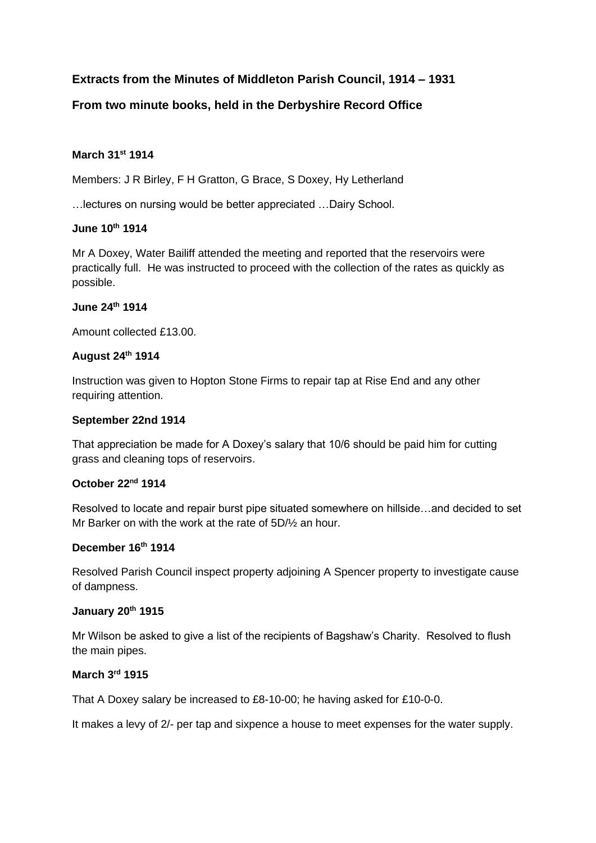# **Extracts from the Minutes of Middleton Parish Council, 1914 – 1931**

# **From two minute books, held in the Derbyshire Record Office**

## **March 31st 1914**

Members: J R Birley, F H Gratton, G Brace, S Doxey, Hy Letherland

…lectures on nursing would be better appreciated …Dairy School.

## **June 10th 1914**

Mr A Doxey, Water Bailiff attended the meeting and reported that the reservoirs were practically full. He was instructed to proceed with the collection of the rates as quickly as possible.

## **June 24th 1914**

Amount collected £13.00.

# **August 24th 1914**

Instruction was given to Hopton Stone Firms to repair tap at Rise End and any other requiring attention.

## **September 22nd 1914**

That appreciation be made for A Doxey's salary that 10/6 should be paid him for cutting grass and cleaning tops of reservoirs.

# **October 22nd 1914**

Resolved to locate and repair burst pipe situated somewhere on hillside…and decided to set Mr Barker on with the work at the rate of 5D/½ an hour.

# **December 16th 1914**

Resolved Parish Council inspect property adjoining A Spencer property to investigate cause of dampness.

## **January 20th 1915**

Mr Wilson be asked to give a list of the recipients of Bagshaw's Charity. Resolved to flush the main pipes.

# **March 3rd 1915**

That A Doxey salary be increased to £8-10-00; he having asked for £10-0-0.

It makes a levy of 2/- per tap and sixpence a house to meet expenses for the water supply.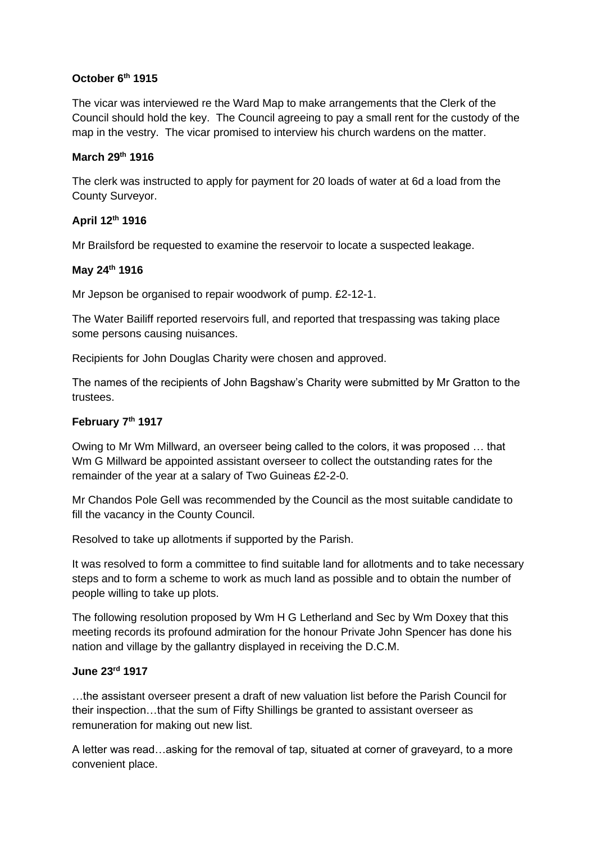## **October 6th 1915**

The vicar was interviewed re the Ward Map to make arrangements that the Clerk of the Council should hold the key. The Council agreeing to pay a small rent for the custody of the map in the vestry. The vicar promised to interview his church wardens on the matter.

## **March 29th 1916**

The clerk was instructed to apply for payment for 20 loads of water at 6d a load from the County Surveyor.

# **April 12th 1916**

Mr Brailsford be requested to examine the reservoir to locate a suspected leakage.

# **May 24th 1916**

Mr Jepson be organised to repair woodwork of pump. £2-12-1.

The Water Bailiff reported reservoirs full, and reported that trespassing was taking place some persons causing nuisances.

Recipients for John Douglas Charity were chosen and approved.

The names of the recipients of John Bagshaw's Charity were submitted by Mr Gratton to the trustees.

# **February 7th 1917**

Owing to Mr Wm Millward, an overseer being called to the colors, it was proposed … that Wm G Millward be appointed assistant overseer to collect the outstanding rates for the remainder of the year at a salary of Two Guineas £2-2-0.

Mr Chandos Pole Gell was recommended by the Council as the most suitable candidate to fill the vacancy in the County Council.

Resolved to take up allotments if supported by the Parish.

It was resolved to form a committee to find suitable land for allotments and to take necessary steps and to form a scheme to work as much land as possible and to obtain the number of people willing to take up plots.

The following resolution proposed by Wm H G Letherland and Sec by Wm Doxey that this meeting records its profound admiration for the honour Private John Spencer has done his nation and village by the gallantry displayed in receiving the D.C.M.

# **June 23rd 1917**

…the assistant overseer present a draft of new valuation list before the Parish Council for their inspection…that the sum of Fifty Shillings be granted to assistant overseer as remuneration for making out new list.

A letter was read…asking for the removal of tap, situated at corner of graveyard, to a more convenient place.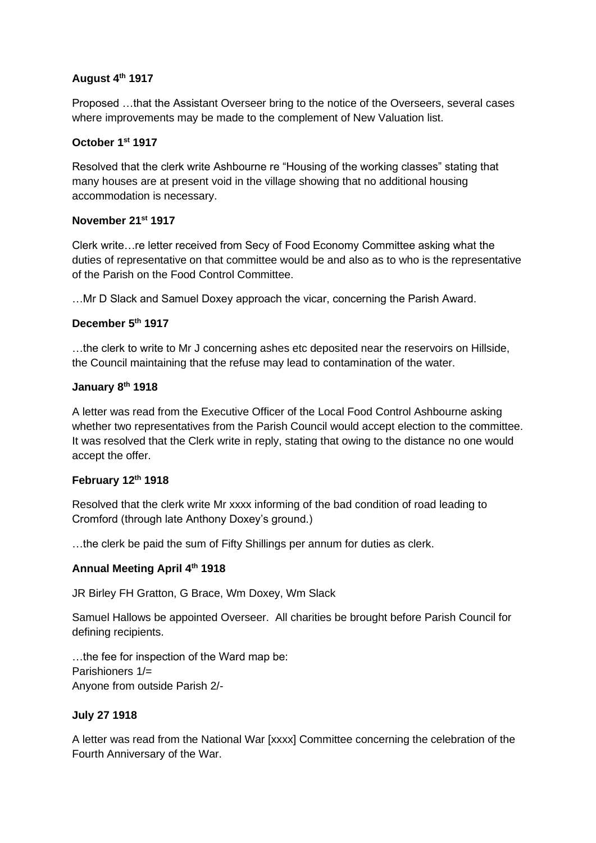# **August 4th 1917**

Proposed …that the Assistant Overseer bring to the notice of the Overseers, several cases where improvements may be made to the complement of New Valuation list.

# **October 1st 1917**

Resolved that the clerk write Ashbourne re "Housing of the working classes" stating that many houses are at present void in the village showing that no additional housing accommodation is necessary.

# **November 21st 1917**

Clerk write…re letter received from Secy of Food Economy Committee asking what the duties of representative on that committee would be and also as to who is the representative of the Parish on the Food Control Committee.

…Mr D Slack and Samuel Doxey approach the vicar, concerning the Parish Award.

# **December 5th 1917**

…the clerk to write to Mr J concerning ashes etc deposited near the reservoirs on Hillside, the Council maintaining that the refuse may lead to contamination of the water.

# **January 8th 1918**

A letter was read from the Executive Officer of the Local Food Control Ashbourne asking whether two representatives from the Parish Council would accept election to the committee. It was resolved that the Clerk write in reply, stating that owing to the distance no one would accept the offer.

# **February 12th 1918**

Resolved that the clerk write Mr xxxx informing of the bad condition of road leading to Cromford (through late Anthony Doxey's ground.)

…the clerk be paid the sum of Fifty Shillings per annum for duties as clerk.

# **Annual Meeting April 4th 1918**

JR Birley FH Gratton, G Brace, Wm Doxey, Wm Slack

Samuel Hallows be appointed Overseer. All charities be brought before Parish Council for defining recipients.

…the fee for inspection of the Ward map be: Parishioners 1/= Anyone from outside Parish 2/-

## **July 27 1918**

A letter was read from the National War [xxxx] Committee concerning the celebration of the Fourth Anniversary of the War.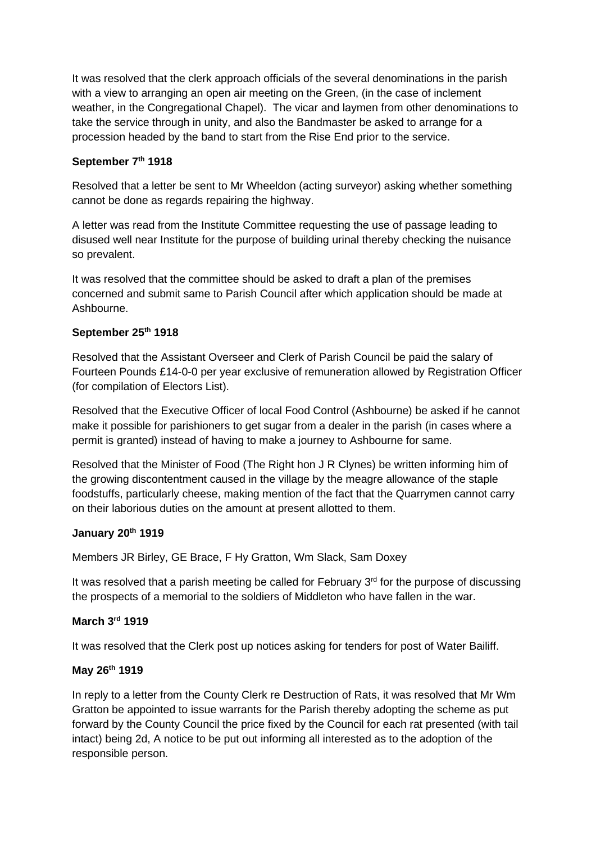It was resolved that the clerk approach officials of the several denominations in the parish with a view to arranging an open air meeting on the Green, (in the case of inclement weather, in the Congregational Chapel). The vicar and laymen from other denominations to take the service through in unity, and also the Bandmaster be asked to arrange for a procession headed by the band to start from the Rise End prior to the service.

## **September 7th 1918**

Resolved that a letter be sent to Mr Wheeldon (acting surveyor) asking whether something cannot be done as regards repairing the highway.

A letter was read from the Institute Committee requesting the use of passage leading to disused well near Institute for the purpose of building urinal thereby checking the nuisance so prevalent.

It was resolved that the committee should be asked to draft a plan of the premises concerned and submit same to Parish Council after which application should be made at Ashbourne.

# **September 25th 1918**

Resolved that the Assistant Overseer and Clerk of Parish Council be paid the salary of Fourteen Pounds £14-0-0 per year exclusive of remuneration allowed by Registration Officer (for compilation of Electors List).

Resolved that the Executive Officer of local Food Control (Ashbourne) be asked if he cannot make it possible for parishioners to get sugar from a dealer in the parish (in cases where a permit is granted) instead of having to make a journey to Ashbourne for same.

Resolved that the Minister of Food (The Right hon J R Clynes) be written informing him of the growing discontentment caused in the village by the meagre allowance of the staple foodstuffs, particularly cheese, making mention of the fact that the Quarrymen cannot carry on their laborious duties on the amount at present allotted to them.

## **January 20th 1919**

Members JR Birley, GE Brace, F Hy Gratton, Wm Slack, Sam Doxey

It was resolved that a parish meeting be called for February  $3<sup>rd</sup>$  for the purpose of discussing the prospects of a memorial to the soldiers of Middleton who have fallen in the war.

# **March 3rd 1919**

It was resolved that the Clerk post up notices asking for tenders for post of Water Bailiff.

## **May 26th 1919**

In reply to a letter from the County Clerk re Destruction of Rats, it was resolved that Mr Wm Gratton be appointed to issue warrants for the Parish thereby adopting the scheme as put forward by the County Council the price fixed by the Council for each rat presented (with tail intact) being 2d, A notice to be put out informing all interested as to the adoption of the responsible person.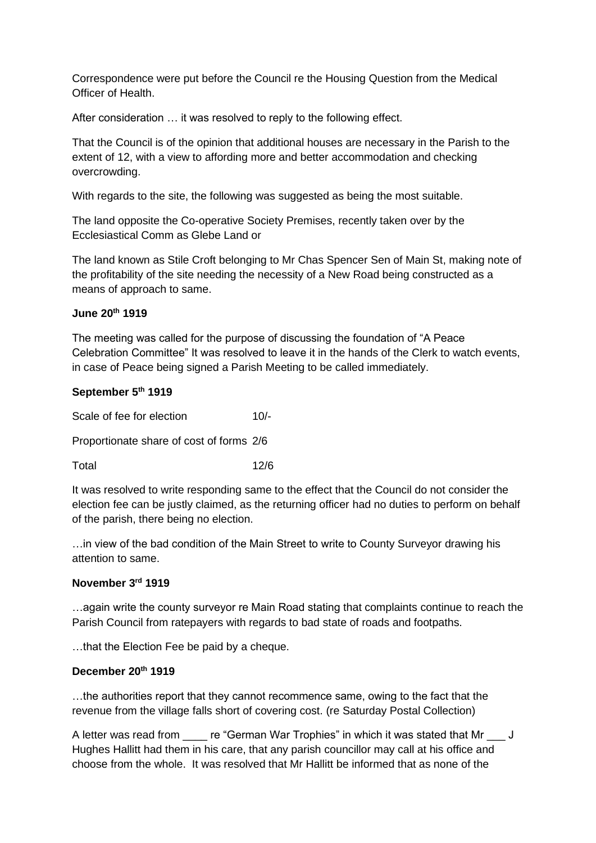Correspondence were put before the Council re the Housing Question from the Medical Officer of Health.

After consideration … it was resolved to reply to the following effect.

That the Council is of the opinion that additional houses are necessary in the Parish to the extent of 12, with a view to affording more and better accommodation and checking overcrowding.

With regards to the site, the following was suggested as being the most suitable.

The land opposite the Co-operative Society Premises, recently taken over by the Ecclesiastical Comm as Glebe Land or

The land known as Stile Croft belonging to Mr Chas Spencer Sen of Main St, making note of the profitability of the site needing the necessity of a New Road being constructed as a means of approach to same.

## **June 20th 1919**

The meeting was called for the purpose of discussing the foundation of "A Peace Celebration Committee" It was resolved to leave it in the hands of the Clerk to watch events, in case of Peace being signed a Parish Meeting to be called immediately.

## **September 5th 1919**

Scale of fee for election 10/-

Proportionate share of cost of forms 2/6

Total 12/6

It was resolved to write responding same to the effect that the Council do not consider the election fee can be justly claimed, as the returning officer had no duties to perform on behalf of the parish, there being no election.

…in view of the bad condition of the Main Street to write to County Surveyor drawing his attention to same.

## **November 3rd 1919**

…again write the county surveyor re Main Road stating that complaints continue to reach the Parish Council from ratepayers with regards to bad state of roads and footpaths.

…that the Election Fee be paid by a cheque.

## **December 20th 1919**

…the authorities report that they cannot recommence same, owing to the fact that the revenue from the village falls short of covering cost. (re Saturday Postal Collection)

A letter was read from \_\_\_\_\_ re "German War Trophies" in which it was stated that Mr \_\_\_ J Hughes Hallitt had them in his care, that any parish councillor may call at his office and choose from the whole. It was resolved that Mr Hallitt be informed that as none of the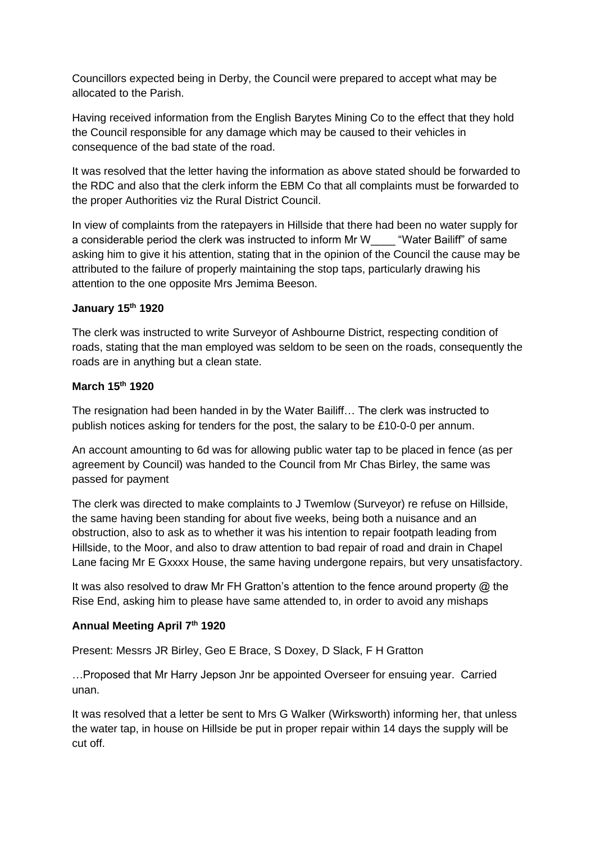Councillors expected being in Derby, the Council were prepared to accept what may be allocated to the Parish.

Having received information from the English Barytes Mining Co to the effect that they hold the Council responsible for any damage which may be caused to their vehicles in consequence of the bad state of the road.

It was resolved that the letter having the information as above stated should be forwarded to the RDC and also that the clerk inform the EBM Co that all complaints must be forwarded to the proper Authorities viz the Rural District Council.

In view of complaints from the ratepayers in Hillside that there had been no water supply for a considerable period the clerk was instructed to inform Mr W\_\_\_\_ "Water Bailiff" of same asking him to give it his attention, stating that in the opinion of the Council the cause may be attributed to the failure of properly maintaining the stop taps, particularly drawing his attention to the one opposite Mrs Jemima Beeson.

# **January 15th 1920**

The clerk was instructed to write Surveyor of Ashbourne District, respecting condition of roads, stating that the man employed was seldom to be seen on the roads, consequently the roads are in anything but a clean state.

## **March 15th 1920**

The resignation had been handed in by the Water Bailiff… The clerk was instructed to publish notices asking for tenders for the post, the salary to be £10-0-0 per annum.

An account amounting to 6d was for allowing public water tap to be placed in fence (as per agreement by Council) was handed to the Council from Mr Chas Birley, the same was passed for payment

The clerk was directed to make complaints to J Twemlow (Surveyor) re refuse on Hillside, the same having been standing for about five weeks, being both a nuisance and an obstruction, also to ask as to whether it was his intention to repair footpath leading from Hillside, to the Moor, and also to draw attention to bad repair of road and drain in Chapel Lane facing Mr E Gxxxx House, the same having undergone repairs, but very unsatisfactory.

It was also resolved to draw Mr FH Gratton's attention to the fence around property @ the Rise End, asking him to please have same attended to, in order to avoid any mishaps

## **Annual Meeting April 7th 1920**

Present: Messrs JR Birley, Geo E Brace, S Doxey, D Slack, F H Gratton

…Proposed that Mr Harry Jepson Jnr be appointed Overseer for ensuing year. Carried unan.

It was resolved that a letter be sent to Mrs G Walker (Wirksworth) informing her, that unless the water tap, in house on Hillside be put in proper repair within 14 days the supply will be cut off.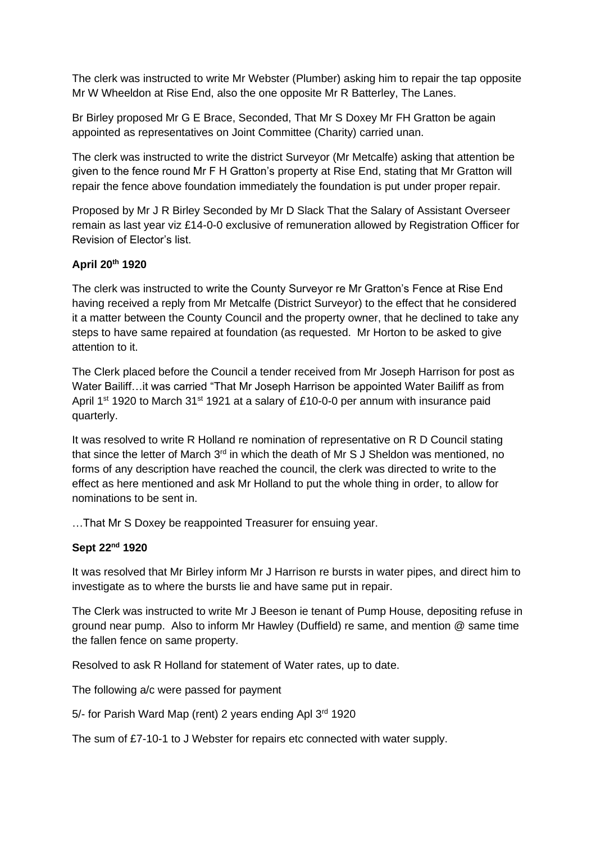The clerk was instructed to write Mr Webster (Plumber) asking him to repair the tap opposite Mr W Wheeldon at Rise End, also the one opposite Mr R Batterley, The Lanes.

Br Birley proposed Mr G E Brace, Seconded, That Mr S Doxey Mr FH Gratton be again appointed as representatives on Joint Committee (Charity) carried unan.

The clerk was instructed to write the district Surveyor (Mr Metcalfe) asking that attention be given to the fence round Mr F H Gratton's property at Rise End, stating that Mr Gratton will repair the fence above foundation immediately the foundation is put under proper repair.

Proposed by Mr J R Birley Seconded by Mr D Slack That the Salary of Assistant Overseer remain as last year viz £14-0-0 exclusive of remuneration allowed by Registration Officer for Revision of Elector's list.

# **April 20th 1920**

The clerk was instructed to write the County Surveyor re Mr Gratton's Fence at Rise End having received a reply from Mr Metcalfe (District Surveyor) to the effect that he considered it a matter between the County Council and the property owner, that he declined to take any steps to have same repaired at foundation (as requested. Mr Horton to be asked to give attention to it.

The Clerk placed before the Council a tender received from Mr Joseph Harrison for post as Water Bailiff…it was carried "That Mr Joseph Harrison be appointed Water Bailiff as from April 1<sup>st</sup> 1920 to March 31<sup>st</sup> 1921 at a salary of £10-0-0 per annum with insurance paid quarterly.

It was resolved to write R Holland re nomination of representative on R D Council stating that since the letter of March 3<sup>rd</sup> in which the death of Mr S J Sheldon was mentioned, no forms of any description have reached the council, the clerk was directed to write to the effect as here mentioned and ask Mr Holland to put the whole thing in order, to allow for nominations to be sent in.

…That Mr S Doxey be reappointed Treasurer for ensuing year.

# **Sept 22nd 1920**

It was resolved that Mr Birley inform Mr J Harrison re bursts in water pipes, and direct him to investigate as to where the bursts lie and have same put in repair.

The Clerk was instructed to write Mr J Beeson ie tenant of Pump House, depositing refuse in ground near pump. Also to inform Mr Hawley (Duffield) re same, and mention @ same time the fallen fence on same property.

Resolved to ask R Holland for statement of Water rates, up to date.

The following a/c were passed for payment

5/- for Parish Ward Map (rent) 2 years ending Apl 3rd 1920

The sum of £7-10-1 to J Webster for repairs etc connected with water supply.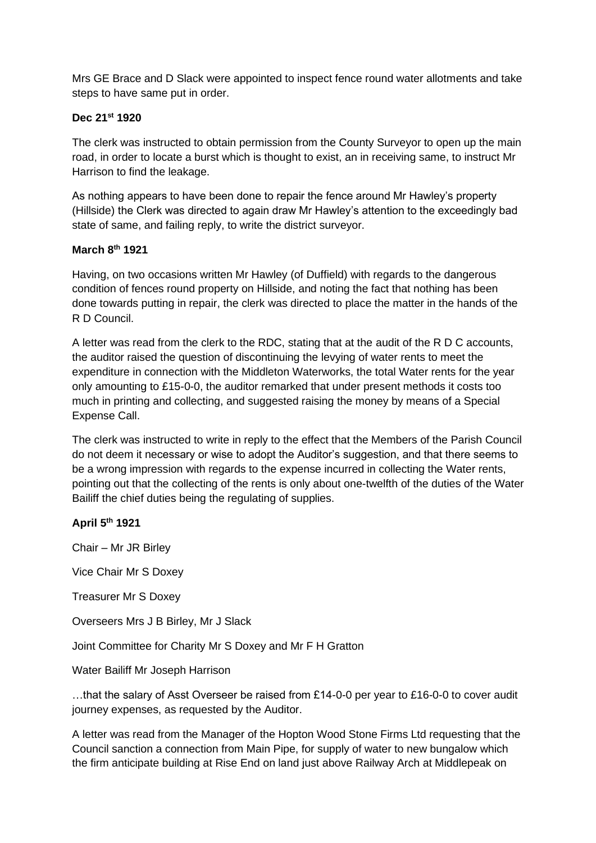Mrs GE Brace and D Slack were appointed to inspect fence round water allotments and take steps to have same put in order.

## **Dec 21st 1920**

The clerk was instructed to obtain permission from the County Surveyor to open up the main road, in order to locate a burst which is thought to exist, an in receiving same, to instruct Mr Harrison to find the leakage.

As nothing appears to have been done to repair the fence around Mr Hawley's property (Hillside) the Clerk was directed to again draw Mr Hawley's attention to the exceedingly bad state of same, and failing reply, to write the district surveyor.

## **March 8th 1921**

Having, on two occasions written Mr Hawley (of Duffield) with regards to the dangerous condition of fences round property on Hillside, and noting the fact that nothing has been done towards putting in repair, the clerk was directed to place the matter in the hands of the R D Council.

A letter was read from the clerk to the RDC, stating that at the audit of the R D C accounts, the auditor raised the question of discontinuing the levying of water rents to meet the expenditure in connection with the Middleton Waterworks, the total Water rents for the year only amounting to £15-0-0, the auditor remarked that under present methods it costs too much in printing and collecting, and suggested raising the money by means of a Special Expense Call.

The clerk was instructed to write in reply to the effect that the Members of the Parish Council do not deem it necessary or wise to adopt the Auditor's suggestion, and that there seems to be a wrong impression with regards to the expense incurred in collecting the Water rents, pointing out that the collecting of the rents is only about one-twelfth of the duties of the Water Bailiff the chief duties being the regulating of supplies.

# **April 5th 1921**

Chair – Mr JR Birley

Vice Chair Mr S Doxey

Treasurer Mr S Doxey

Overseers Mrs J B Birley, Mr J Slack

Joint Committee for Charity Mr S Doxey and Mr F H Gratton

Water Bailiff Mr Joseph Harrison

…that the salary of Asst Overseer be raised from £14-0-0 per year to £16-0-0 to cover audit journey expenses, as requested by the Auditor.

A letter was read from the Manager of the Hopton Wood Stone Firms Ltd requesting that the Council sanction a connection from Main Pipe, for supply of water to new bungalow which the firm anticipate building at Rise End on land just above Railway Arch at Middlepeak on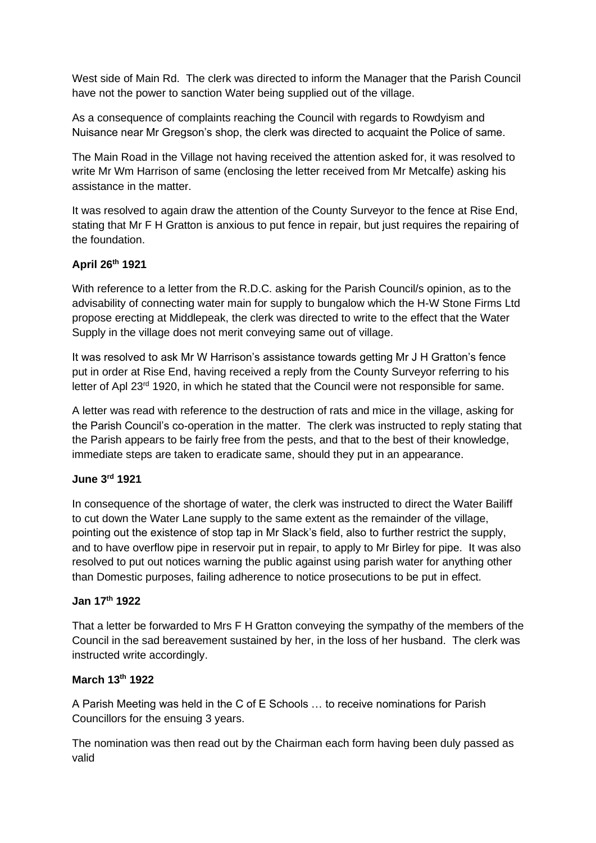West side of Main Rd. The clerk was directed to inform the Manager that the Parish Council have not the power to sanction Water being supplied out of the village.

As a consequence of complaints reaching the Council with regards to Rowdyism and Nuisance near Mr Gregson's shop, the clerk was directed to acquaint the Police of same.

The Main Road in the Village not having received the attention asked for, it was resolved to write Mr Wm Harrison of same (enclosing the letter received from Mr Metcalfe) asking his assistance in the matter.

It was resolved to again draw the attention of the County Surveyor to the fence at Rise End, stating that Mr F H Gratton is anxious to put fence in repair, but just requires the repairing of the foundation.

# **April 26th 1921**

With reference to a letter from the R.D.C. asking for the Parish Council/s opinion, as to the advisability of connecting water main for supply to bungalow which the H-W Stone Firms Ltd propose erecting at Middlepeak, the clerk was directed to write to the effect that the Water Supply in the village does not merit conveying same out of village.

It was resolved to ask Mr W Harrison's assistance towards getting Mr J H Gratton's fence put in order at Rise End, having received a reply from the County Surveyor referring to his letter of Apl 23<sup>rd</sup> 1920, in which he stated that the Council were not responsible for same.

A letter was read with reference to the destruction of rats and mice in the village, asking for the Parish Council's co-operation in the matter. The clerk was instructed to reply stating that the Parish appears to be fairly free from the pests, and that to the best of their knowledge, immediate steps are taken to eradicate same, should they put in an appearance.

# **June 3rd 1921**

In consequence of the shortage of water, the clerk was instructed to direct the Water Bailiff to cut down the Water Lane supply to the same extent as the remainder of the village, pointing out the existence of stop tap in Mr Slack's field, also to further restrict the supply, and to have overflow pipe in reservoir put in repair, to apply to Mr Birley for pipe. It was also resolved to put out notices warning the public against using parish water for anything other than Domestic purposes, failing adherence to notice prosecutions to be put in effect.

## **Jan 17th 1922**

That a letter be forwarded to Mrs F H Gratton conveying the sympathy of the members of the Council in the sad bereavement sustained by her, in the loss of her husband. The clerk was instructed write accordingly.

# **March 13th 1922**

A Parish Meeting was held in the C of E Schools … to receive nominations for Parish Councillors for the ensuing 3 years.

The nomination was then read out by the Chairman each form having been duly passed as valid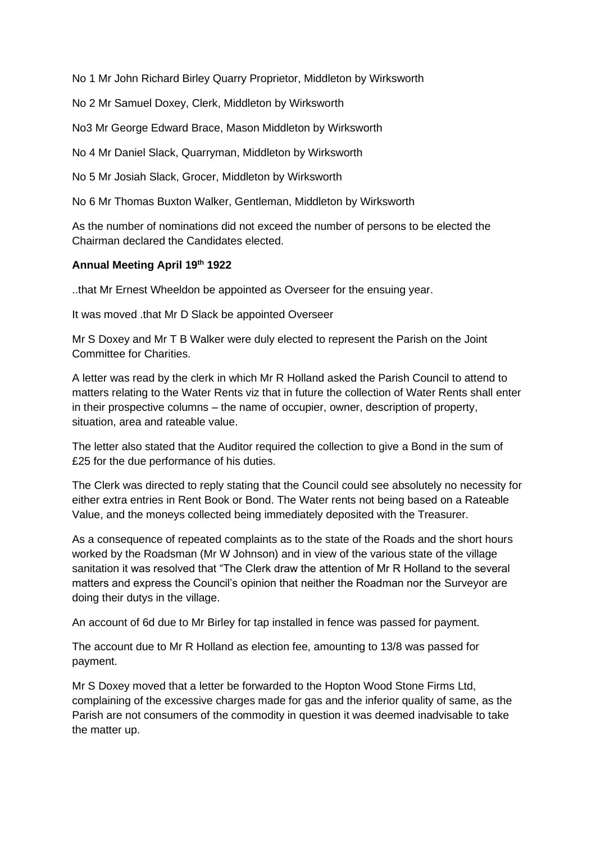No 1 Mr John Richard Birley Quarry Proprietor, Middleton by Wirksworth

No 2 Mr Samuel Doxey, Clerk, Middleton by Wirksworth

No3 Mr George Edward Brace, Mason Middleton by Wirksworth

No 4 Mr Daniel Slack, Quarryman, Middleton by Wirksworth

No 5 Mr Josiah Slack, Grocer, Middleton by Wirksworth

No 6 Mr Thomas Buxton Walker, Gentleman, Middleton by Wirksworth

As the number of nominations did not exceed the number of persons to be elected the Chairman declared the Candidates elected.

# **Annual Meeting April 19th 1922**

..that Mr Ernest Wheeldon be appointed as Overseer for the ensuing year.

It was moved .that Mr D Slack be appointed Overseer

Mr S Doxey and Mr T B Walker were duly elected to represent the Parish on the Joint Committee for Charities.

A letter was read by the clerk in which Mr R Holland asked the Parish Council to attend to matters relating to the Water Rents viz that in future the collection of Water Rents shall enter in their prospective columns – the name of occupier, owner, description of property, situation, area and rateable value.

The letter also stated that the Auditor required the collection to give a Bond in the sum of £25 for the due performance of his duties.

The Clerk was directed to reply stating that the Council could see absolutely no necessity for either extra entries in Rent Book or Bond. The Water rents not being based on a Rateable Value, and the moneys collected being immediately deposited with the Treasurer.

As a consequence of repeated complaints as to the state of the Roads and the short hours worked by the Roadsman (Mr W Johnson) and in view of the various state of the village sanitation it was resolved that "The Clerk draw the attention of Mr R Holland to the several matters and express the Council's opinion that neither the Roadman nor the Surveyor are doing their dutys in the village.

An account of 6d due to Mr Birley for tap installed in fence was passed for payment.

The account due to Mr R Holland as election fee, amounting to 13/8 was passed for payment.

Mr S Doxey moved that a letter be forwarded to the Hopton Wood Stone Firms Ltd, complaining of the excessive charges made for gas and the inferior quality of same, as the Parish are not consumers of the commodity in question it was deemed inadvisable to take the matter up.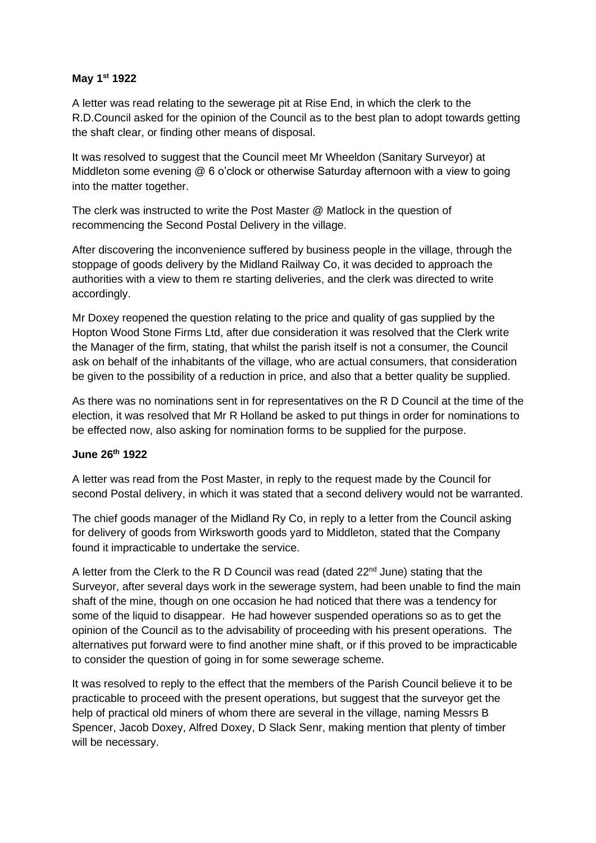### **May 1st 1922**

A letter was read relating to the sewerage pit at Rise End, in which the clerk to the R.D.Council asked for the opinion of the Council as to the best plan to adopt towards getting the shaft clear, or finding other means of disposal.

It was resolved to suggest that the Council meet Mr Wheeldon (Sanitary Surveyor) at Middleton some evening @ 6 o'clock or otherwise Saturday afternoon with a view to going into the matter together.

The clerk was instructed to write the Post Master @ Matlock in the question of recommencing the Second Postal Delivery in the village.

After discovering the inconvenience suffered by business people in the village, through the stoppage of goods delivery by the Midland Railway Co, it was decided to approach the authorities with a view to them re starting deliveries, and the clerk was directed to write accordingly.

Mr Doxey reopened the question relating to the price and quality of gas supplied by the Hopton Wood Stone Firms Ltd, after due consideration it was resolved that the Clerk write the Manager of the firm, stating, that whilst the parish itself is not a consumer, the Council ask on behalf of the inhabitants of the village, who are actual consumers, that consideration be given to the possibility of a reduction in price, and also that a better quality be supplied.

As there was no nominations sent in for representatives on the R D Council at the time of the election, it was resolved that Mr R Holland be asked to put things in order for nominations to be effected now, also asking for nomination forms to be supplied for the purpose.

# **June 26th 1922**

A letter was read from the Post Master, in reply to the request made by the Council for second Postal delivery, in which it was stated that a second delivery would not be warranted.

The chief goods manager of the Midland Ry Co, in reply to a letter from the Council asking for delivery of goods from Wirksworth goods yard to Middleton, stated that the Company found it impracticable to undertake the service.

A letter from the Clerk to the R D Council was read (dated  $22^{nd}$  June) stating that the Surveyor, after several days work in the sewerage system, had been unable to find the main shaft of the mine, though on one occasion he had noticed that there was a tendency for some of the liquid to disappear. He had however suspended operations so as to get the opinion of the Council as to the advisability of proceeding with his present operations. The alternatives put forward were to find another mine shaft, or if this proved to be impracticable to consider the question of going in for some sewerage scheme.

It was resolved to reply to the effect that the members of the Parish Council believe it to be practicable to proceed with the present operations, but suggest that the surveyor get the help of practical old miners of whom there are several in the village, naming Messrs B Spencer, Jacob Doxey, Alfred Doxey, D Slack Senr, making mention that plenty of timber will be necessary.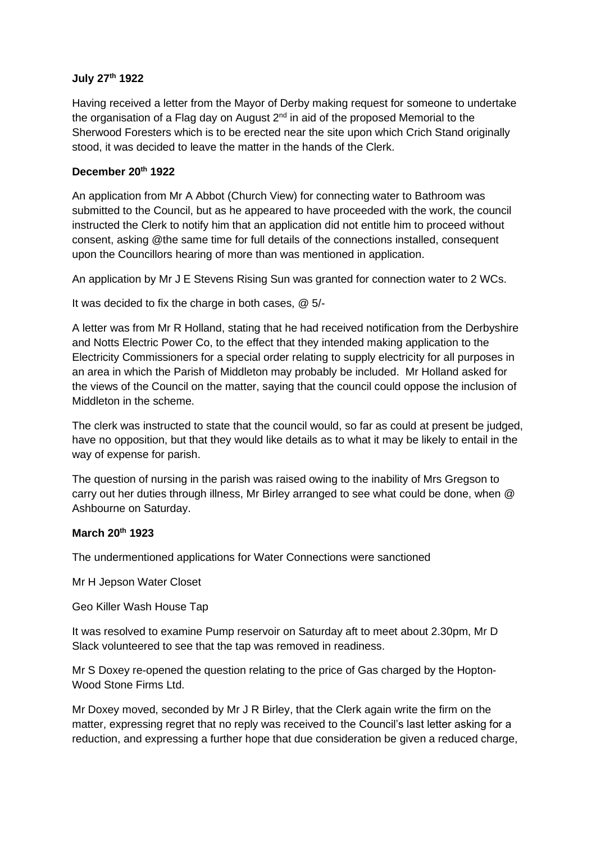## **July 27th 1922**

Having received a letter from the Mayor of Derby making request for someone to undertake the organisation of a Flag day on August  $2<sup>nd</sup>$  in aid of the proposed Memorial to the Sherwood Foresters which is to be erected near the site upon which Crich Stand originally stood, it was decided to leave the matter in the hands of the Clerk.

# **December 20th 1922**

An application from Mr A Abbot (Church View) for connecting water to Bathroom was submitted to the Council, but as he appeared to have proceeded with the work, the council instructed the Clerk to notify him that an application did not entitle him to proceed without consent, asking @the same time for full details of the connections installed, consequent upon the Councillors hearing of more than was mentioned in application.

An application by Mr J E Stevens Rising Sun was granted for connection water to 2 WCs.

It was decided to fix the charge in both cases, @ 5/-

A letter was from Mr R Holland, stating that he had received notification from the Derbyshire and Notts Electric Power Co, to the effect that they intended making application to the Electricity Commissioners for a special order relating to supply electricity for all purposes in an area in which the Parish of Middleton may probably be included. Mr Holland asked for the views of the Council on the matter, saying that the council could oppose the inclusion of Middleton in the scheme.

The clerk was instructed to state that the council would, so far as could at present be judged, have no opposition, but that they would like details as to what it may be likely to entail in the way of expense for parish.

The question of nursing in the parish was raised owing to the inability of Mrs Gregson to carry out her duties through illness, Mr Birley arranged to see what could be done, when @ Ashbourne on Saturday.

# **March 20th 1923**

The undermentioned applications for Water Connections were sanctioned

Mr H Jepson Water Closet

Geo Killer Wash House Tap

It was resolved to examine Pump reservoir on Saturday aft to meet about 2.30pm, Mr D Slack volunteered to see that the tap was removed in readiness.

Mr S Doxey re-opened the question relating to the price of Gas charged by the Hopton-Wood Stone Firms Ltd.

Mr Doxey moved, seconded by Mr J R Birley, that the Clerk again write the firm on the matter, expressing regret that no reply was received to the Council's last letter asking for a reduction, and expressing a further hope that due consideration be given a reduced charge,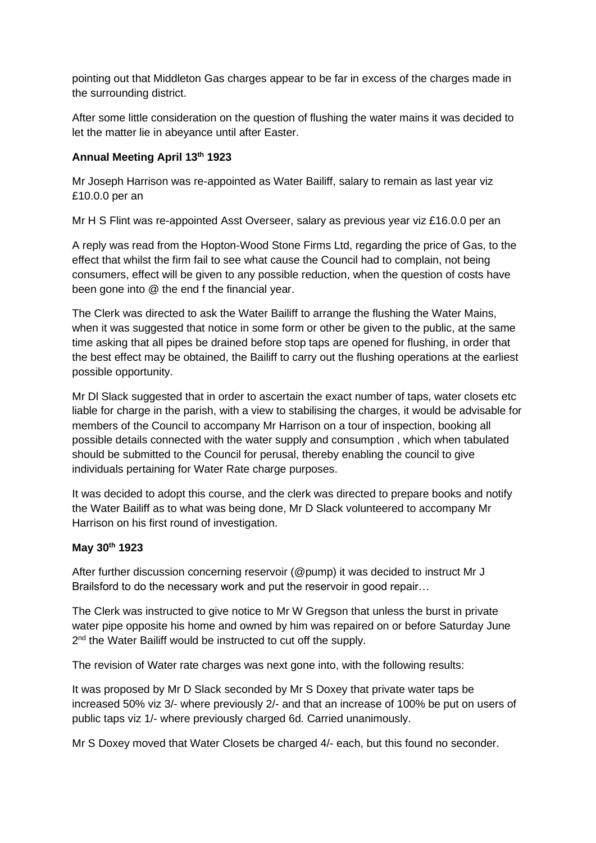pointing out that Middleton Gas charges appear to be far in excess of the charges made in the surrounding district.

After some little consideration on the question of flushing the water mains it was decided to let the matter lie in abeyance until after Easter.

# **Annual Meeting April 13th 1923**

Mr Joseph Harrison was re-appointed as Water Bailiff, salary to remain as last year viz £10.0.0 per an

Mr H S Flint was re-appointed Asst Overseer, salary as previous year viz £16.0.0 per an

A reply was read from the Hopton-Wood Stone Firms Ltd, regarding the price of Gas, to the effect that whilst the firm fail to see what cause the Council had to complain, not being consumers, effect will be given to any possible reduction, when the question of costs have been gone into @ the end f the financial year.

The Clerk was directed to ask the Water Bailiff to arrange the flushing the Water Mains, when it was suggested that notice in some form or other be given to the public, at the same time asking that all pipes be drained before stop taps are opened for flushing, in order that the best effect may be obtained, the Bailiff to carry out the flushing operations at the earliest possible opportunity.

Mr Dl Slack suggested that in order to ascertain the exact number of taps, water closets etc liable for charge in the parish, with a view to stabilising the charges, it would be advisable for members of the Council to accompany Mr Harrison on a tour of inspection, booking all possible details connected with the water supply and consumption , which when tabulated should be submitted to the Council for perusal, thereby enabling the council to give individuals pertaining for Water Rate charge purposes.

It was decided to adopt this course, and the clerk was directed to prepare books and notify the Water Bailiff as to what was being done, Mr D Slack volunteered to accompany Mr Harrison on his first round of investigation.

# **May 30th 1923**

After further discussion concerning reservoir (@pump) it was decided to instruct Mr J Brailsford to do the necessary work and put the reservoir in good repair…

The Clerk was instructed to give notice to Mr W Gregson that unless the burst in private water pipe opposite his home and owned by him was repaired on or before Saturday June 2<sup>nd</sup> the Water Bailiff would be instructed to cut off the supply.

The revision of Water rate charges was next gone into, with the following results:

It was proposed by Mr D Slack seconded by Mr S Doxey that private water taps be increased 50% viz 3/- where previously 2/- and that an increase of 100% be put on users of public taps viz 1/- where previously charged 6d. Carried unanimously.

Mr S Doxey moved that Water Closets be charged 4/- each, but this found no seconder.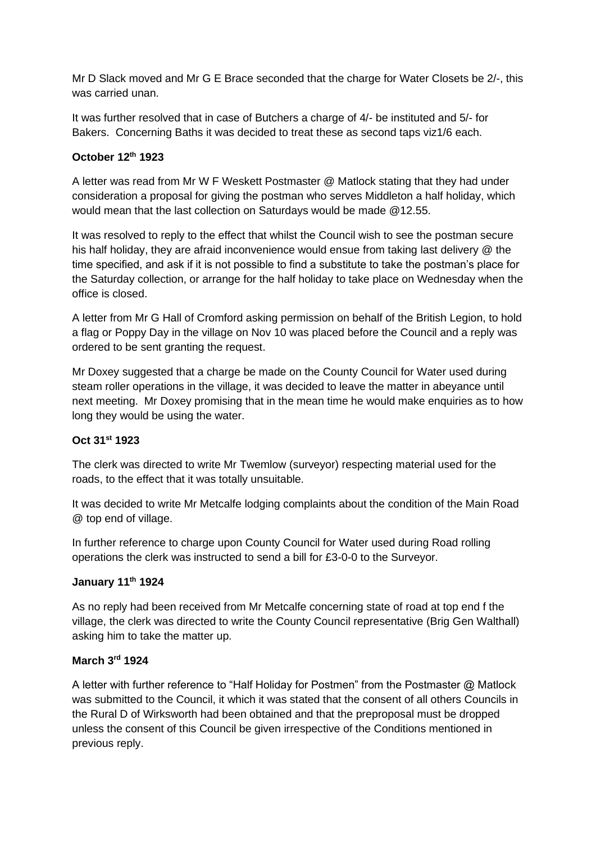Mr D Slack moved and Mr G E Brace seconded that the charge for Water Closets be 2/-, this was carried unan.

It was further resolved that in case of Butchers a charge of 4/- be instituted and 5/- for Bakers. Concerning Baths it was decided to treat these as second taps viz1/6 each.

# **October 12th 1923**

A letter was read from Mr W F Weskett Postmaster @ Matlock stating that they had under consideration a proposal for giving the postman who serves Middleton a half holiday, which would mean that the last collection on Saturdays would be made @12.55.

It was resolved to reply to the effect that whilst the Council wish to see the postman secure his half holiday, they are afraid inconvenience would ensue from taking last delivery @ the time specified, and ask if it is not possible to find a substitute to take the postman's place for the Saturday collection, or arrange for the half holiday to take place on Wednesday when the office is closed.

A letter from Mr G Hall of Cromford asking permission on behalf of the British Legion, to hold a flag or Poppy Day in the village on Nov 10 was placed before the Council and a reply was ordered to be sent granting the request.

Mr Doxey suggested that a charge be made on the County Council for Water used during steam roller operations in the village, it was decided to leave the matter in abeyance until next meeting. Mr Doxey promising that in the mean time he would make enquiries as to how long they would be using the water.

# **Oct 31st 1923**

The clerk was directed to write Mr Twemlow (surveyor) respecting material used for the roads, to the effect that it was totally unsuitable.

It was decided to write Mr Metcalfe lodging complaints about the condition of the Main Road @ top end of village.

In further reference to charge upon County Council for Water used during Road rolling operations the clerk was instructed to send a bill for £3-0-0 to the Surveyor.

## **January 11th 1924**

As no reply had been received from Mr Metcalfe concerning state of road at top end f the village, the clerk was directed to write the County Council representative (Brig Gen Walthall) asking him to take the matter up.

## **March 3rd 1924**

A letter with further reference to "Half Holiday for Postmen" from the Postmaster @ Matlock was submitted to the Council, it which it was stated that the consent of all others Councils in the Rural D of Wirksworth had been obtained and that the preproposal must be dropped unless the consent of this Council be given irrespective of the Conditions mentioned in previous reply.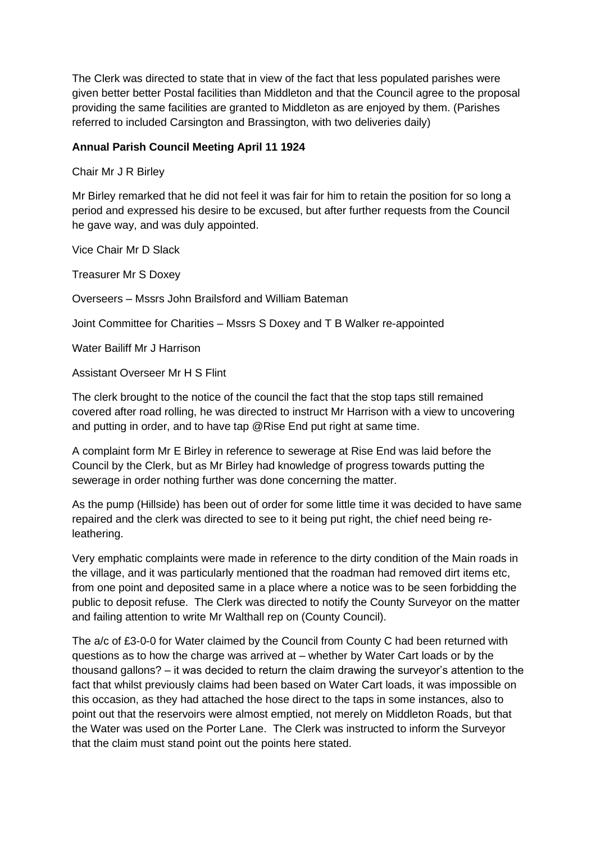The Clerk was directed to state that in view of the fact that less populated parishes were given better better Postal facilities than Middleton and that the Council agree to the proposal providing the same facilities are granted to Middleton as are enjoyed by them. (Parishes referred to included Carsington and Brassington, with two deliveries daily)

## **Annual Parish Council Meeting April 11 1924**

Chair Mr J R Birley

Mr Birley remarked that he did not feel it was fair for him to retain the position for so long a period and expressed his desire to be excused, but after further requests from the Council he gave way, and was duly appointed.

Vice Chair Mr D Slack

Treasurer Mr S Doxey

Overseers – Mssrs John Brailsford and William Bateman

Joint Committee for Charities – Mssrs S Doxey and T B Walker re-appointed

Water Bailiff Mr J Harrison

Assistant Overseer Mr H S Flint

The clerk brought to the notice of the council the fact that the stop taps still remained covered after road rolling, he was directed to instruct Mr Harrison with a view to uncovering and putting in order, and to have tap @Rise End put right at same time.

A complaint form Mr E Birley in reference to sewerage at Rise End was laid before the Council by the Clerk, but as Mr Birley had knowledge of progress towards putting the sewerage in order nothing further was done concerning the matter.

As the pump (Hillside) has been out of order for some little time it was decided to have same repaired and the clerk was directed to see to it being put right, the chief need being releathering.

Very emphatic complaints were made in reference to the dirty condition of the Main roads in the village, and it was particularly mentioned that the roadman had removed dirt items etc, from one point and deposited same in a place where a notice was to be seen forbidding the public to deposit refuse. The Clerk was directed to notify the County Surveyor on the matter and failing attention to write Mr Walthall rep on (County Council).

The a/c of £3-0-0 for Water claimed by the Council from County C had been returned with questions as to how the charge was arrived at – whether by Water Cart loads or by the thousand gallons? – it was decided to return the claim drawing the surveyor's attention to the fact that whilst previously claims had been based on Water Cart loads, it was impossible on this occasion, as they had attached the hose direct to the taps in some instances, also to point out that the reservoirs were almost emptied, not merely on Middleton Roads, but that the Water was used on the Porter Lane. The Clerk was instructed to inform the Surveyor that the claim must stand point out the points here stated.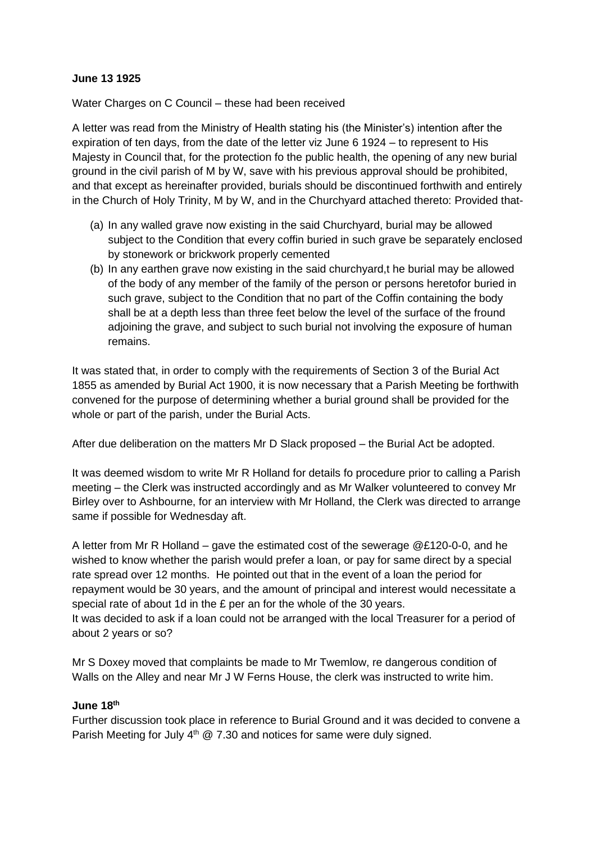### **June 13 1925**

Water Charges on C Council – these had been received

A letter was read from the Ministry of Health stating his (the Minister's) intention after the expiration of ten days, from the date of the letter viz June 6 1924 – to represent to His Majesty in Council that, for the protection fo the public health, the opening of any new burial ground in the civil parish of M by W, save with his previous approval should be prohibited, and that except as hereinafter provided, burials should be discontinued forthwith and entirely in the Church of Holy Trinity, M by W, and in the Churchyard attached thereto: Provided that-

- (a) In any walled grave now existing in the said Churchyard, burial may be allowed subject to the Condition that every coffin buried in such grave be separately enclosed by stonework or brickwork properly cemented
- (b) In any earthen grave now existing in the said churchyard,t he burial may be allowed of the body of any member of the family of the person or persons heretofor buried in such grave, subject to the Condition that no part of the Coffin containing the body shall be at a depth less than three feet below the level of the surface of the fround adjoining the grave, and subject to such burial not involving the exposure of human remains.

It was stated that, in order to comply with the requirements of Section 3 of the Burial Act 1855 as amended by Burial Act 1900, it is now necessary that a Parish Meeting be forthwith convened for the purpose of determining whether a burial ground shall be provided for the whole or part of the parish, under the Burial Acts.

After due deliberation on the matters Mr D Slack proposed – the Burial Act be adopted.

It was deemed wisdom to write Mr R Holland for details fo procedure prior to calling a Parish meeting – the Clerk was instructed accordingly and as Mr Walker volunteered to convey Mr Birley over to Ashbourne, for an interview with Mr Holland, the Clerk was directed to arrange same if possible for Wednesday aft.

A letter from Mr R Holland – gave the estimated cost of the sewerage @£120-0-0, and he wished to know whether the parish would prefer a loan, or pay for same direct by a special rate spread over 12 months. He pointed out that in the event of a loan the period for repayment would be 30 years, and the amount of principal and interest would necessitate a special rate of about 1d in the £ per an for the whole of the 30 years. It was decided to ask if a loan could not be arranged with the local Treasurer for a period of

about 2 years or so?

Mr S Doxey moved that complaints be made to Mr Twemlow, re dangerous condition of Walls on the Alley and near Mr J W Ferns House, the clerk was instructed to write him.

#### **June 18th**

Further discussion took place in reference to Burial Ground and it was decided to convene a Parish Meeting for July  $4<sup>th</sup>$  @ 7.30 and notices for same were duly signed.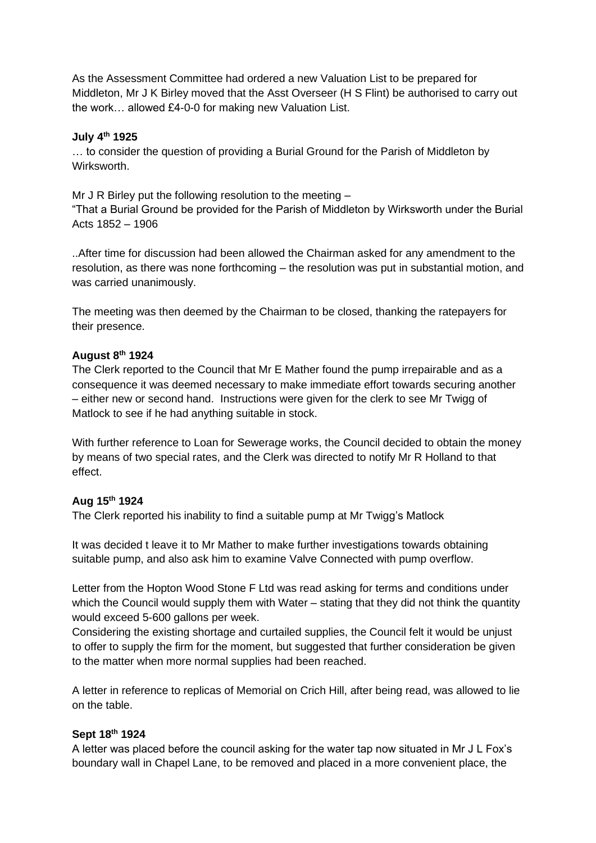As the Assessment Committee had ordered a new Valuation List to be prepared for Middleton, Mr J K Birley moved that the Asst Overseer (H S Flint) be authorised to carry out the work… allowed £4-0-0 for making new Valuation List.

### **July 4th 1925**

… to consider the question of providing a Burial Ground for the Parish of Middleton by Wirksworth.

Mr J R Birley put the following resolution to the meeting –

"That a Burial Ground be provided for the Parish of Middleton by Wirksworth under the Burial Acts 1852 – 1906

..After time for discussion had been allowed the Chairman asked for any amendment to the resolution, as there was none forthcoming – the resolution was put in substantial motion, and was carried unanimously.

The meeting was then deemed by the Chairman to be closed, thanking the ratepayers for their presence.

#### **August 8th 1924**

The Clerk reported to the Council that Mr E Mather found the pump irrepairable and as a consequence it was deemed necessary to make immediate effort towards securing another – either new or second hand. Instructions were given for the clerk to see Mr Twigg of Matlock to see if he had anything suitable in stock.

With further reference to Loan for Sewerage works, the Council decided to obtain the money by means of two special rates, and the Clerk was directed to notify Mr R Holland to that effect.

## **Aug 15th 1924**

The Clerk reported his inability to find a suitable pump at Mr Twigg's Matlock

It was decided t leave it to Mr Mather to make further investigations towards obtaining suitable pump, and also ask him to examine Valve Connected with pump overflow.

Letter from the Hopton Wood Stone F Ltd was read asking for terms and conditions under which the Council would supply them with Water – stating that they did not think the quantity would exceed 5-600 gallons per week.

Considering the existing shortage and curtailed supplies, the Council felt it would be unjust to offer to supply the firm for the moment, but suggested that further consideration be given to the matter when more normal supplies had been reached.

A letter in reference to replicas of Memorial on Crich Hill, after being read, was allowed to lie on the table.

#### **Sept 18th 1924**

A letter was placed before the council asking for the water tap now situated in Mr J L Fox's boundary wall in Chapel Lane, to be removed and placed in a more convenient place, the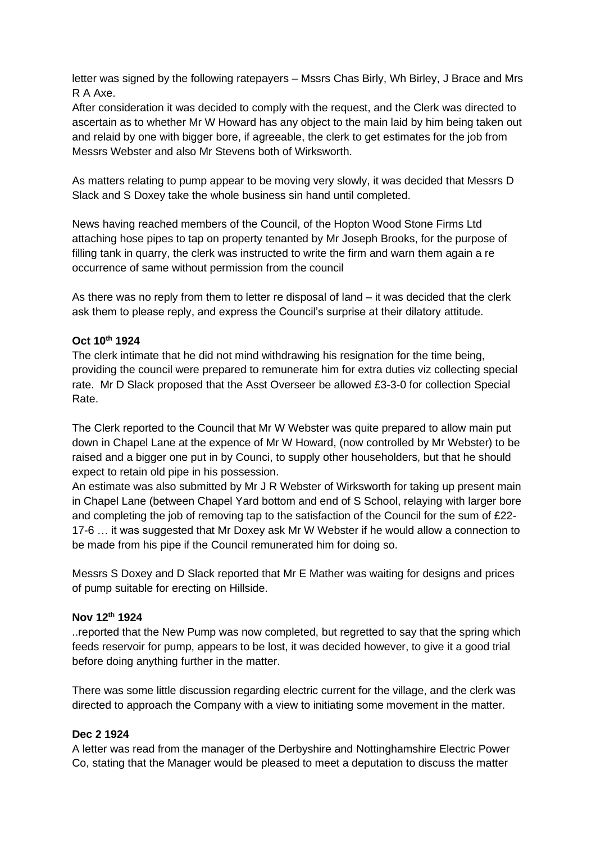letter was signed by the following ratepayers – Mssrs Chas Birly, Wh Birley, J Brace and Mrs R A Axe.

After consideration it was decided to comply with the request, and the Clerk was directed to ascertain as to whether Mr W Howard has any object to the main laid by him being taken out and relaid by one with bigger bore, if agreeable, the clerk to get estimates for the job from Messrs Webster and also Mr Stevens both of Wirksworth.

As matters relating to pump appear to be moving very slowly, it was decided that Messrs D Slack and S Doxey take the whole business sin hand until completed.

News having reached members of the Council, of the Hopton Wood Stone Firms Ltd attaching hose pipes to tap on property tenanted by Mr Joseph Brooks, for the purpose of filling tank in quarry, the clerk was instructed to write the firm and warn them again a re occurrence of same without permission from the council

As there was no reply from them to letter re disposal of land – it was decided that the clerk ask them to please reply, and express the Council's surprise at their dilatory attitude.

## **Oct 10th 1924**

The clerk intimate that he did not mind withdrawing his resignation for the time being, providing the council were prepared to remunerate him for extra duties viz collecting special rate. Mr D Slack proposed that the Asst Overseer be allowed £3-3-0 for collection Special Rate.

The Clerk reported to the Council that Mr W Webster was quite prepared to allow main put down in Chapel Lane at the expence of Mr W Howard, (now controlled by Mr Webster) to be raised and a bigger one put in by Counci, to supply other householders, but that he should expect to retain old pipe in his possession.

An estimate was also submitted by Mr J R Webster of Wirksworth for taking up present main in Chapel Lane (between Chapel Yard bottom and end of S School, relaying with larger bore and completing the job of removing tap to the satisfaction of the Council for the sum of £22- 17-6 … it was suggested that Mr Doxey ask Mr W Webster if he would allow a connection to be made from his pipe if the Council remunerated him for doing so.

Messrs S Doxey and D Slack reported that Mr E Mather was waiting for designs and prices of pump suitable for erecting on Hillside.

## **Nov 12th 1924**

..reported that the New Pump was now completed, but regretted to say that the spring which feeds reservoir for pump, appears to be lost, it was decided however, to give it a good trial before doing anything further in the matter.

There was some little discussion regarding electric current for the village, and the clerk was directed to approach the Company with a view to initiating some movement in the matter.

## **Dec 2 1924**

A letter was read from the manager of the Derbyshire and Nottinghamshire Electric Power Co, stating that the Manager would be pleased to meet a deputation to discuss the matter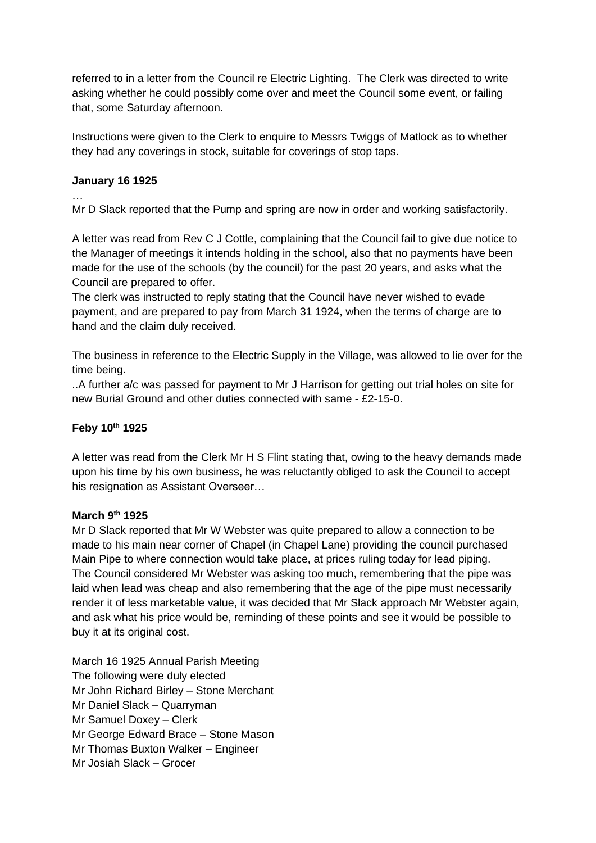referred to in a letter from the Council re Electric Lighting. The Clerk was directed to write asking whether he could possibly come over and meet the Council some event, or failing that, some Saturday afternoon.

Instructions were given to the Clerk to enquire to Messrs Twiggs of Matlock as to whether they had any coverings in stock, suitable for coverings of stop taps.

# **January 16 1925**

… Mr D Slack reported that the Pump and spring are now in order and working satisfactorily.

A letter was read from Rev C J Cottle, complaining that the Council fail to give due notice to the Manager of meetings it intends holding in the school, also that no payments have been made for the use of the schools (by the council) for the past 20 years, and asks what the Council are prepared to offer.

The clerk was instructed to reply stating that the Council have never wished to evade payment, and are prepared to pay from March 31 1924, when the terms of charge are to hand and the claim duly received.

The business in reference to the Electric Supply in the Village, was allowed to lie over for the time being.

..A further a/c was passed for payment to Mr J Harrison for getting out trial holes on site for new Burial Ground and other duties connected with same - £2-15-0.

# **Feby 10th 1925**

A letter was read from the Clerk Mr H S Flint stating that, owing to the heavy demands made upon his time by his own business, he was reluctantly obliged to ask the Council to accept his resignation as Assistant Overseer…

# **March 9th 1925**

Mr D Slack reported that Mr W Webster was quite prepared to allow a connection to be made to his main near corner of Chapel (in Chapel Lane) providing the council purchased Main Pipe to where connection would take place, at prices ruling today for lead piping. The Council considered Mr Webster was asking too much, remembering that the pipe was laid when lead was cheap and also remembering that the age of the pipe must necessarily render it of less marketable value, it was decided that Mr Slack approach Mr Webster again, and ask what his price would be, reminding of these points and see it would be possible to buy it at its original cost.

March 16 1925 Annual Parish Meeting The following were duly elected Mr John Richard Birley – Stone Merchant Mr Daniel Slack – Quarryman Mr Samuel Doxey – Clerk Mr George Edward Brace – Stone Mason Mr Thomas Buxton Walker – Engineer Mr Josiah Slack – Grocer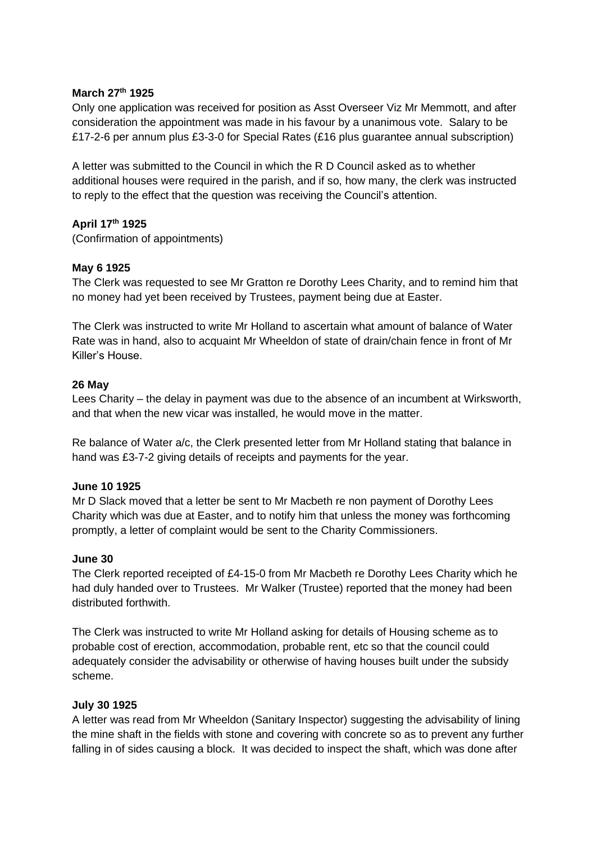### **March 27th 1925**

Only one application was received for position as Asst Overseer Viz Mr Memmott, and after consideration the appointment was made in his favour by a unanimous vote. Salary to be £17-2-6 per annum plus £3-3-0 for Special Rates (£16 plus guarantee annual subscription)

A letter was submitted to the Council in which the R D Council asked as to whether additional houses were required in the parish, and if so, how many, the clerk was instructed to reply to the effect that the question was receiving the Council's attention.

## **April 17th 1925**

(Confirmation of appointments)

#### **May 6 1925**

The Clerk was requested to see Mr Gratton re Dorothy Lees Charity, and to remind him that no money had yet been received by Trustees, payment being due at Easter.

The Clerk was instructed to write Mr Holland to ascertain what amount of balance of Water Rate was in hand, also to acquaint Mr Wheeldon of state of drain/chain fence in front of Mr Killer's House.

#### **26 May**

Lees Charity – the delay in payment was due to the absence of an incumbent at Wirksworth, and that when the new vicar was installed, he would move in the matter.

Re balance of Water a/c, the Clerk presented letter from Mr Holland stating that balance in hand was £3-7-2 giving details of receipts and payments for the year.

#### **June 10 1925**

Mr D Slack moved that a letter be sent to Mr Macbeth re non payment of Dorothy Lees Charity which was due at Easter, and to notify him that unless the money was forthcoming promptly, a letter of complaint would be sent to the Charity Commissioners.

#### **June 30**

The Clerk reported receipted of £4-15-0 from Mr Macbeth re Dorothy Lees Charity which he had duly handed over to Trustees. Mr Walker (Trustee) reported that the money had been distributed forthwith.

The Clerk was instructed to write Mr Holland asking for details of Housing scheme as to probable cost of erection, accommodation, probable rent, etc so that the council could adequately consider the advisability or otherwise of having houses built under the subsidy scheme.

#### **July 30 1925**

A letter was read from Mr Wheeldon (Sanitary Inspector) suggesting the advisability of lining the mine shaft in the fields with stone and covering with concrete so as to prevent any further falling in of sides causing a block. It was decided to inspect the shaft, which was done after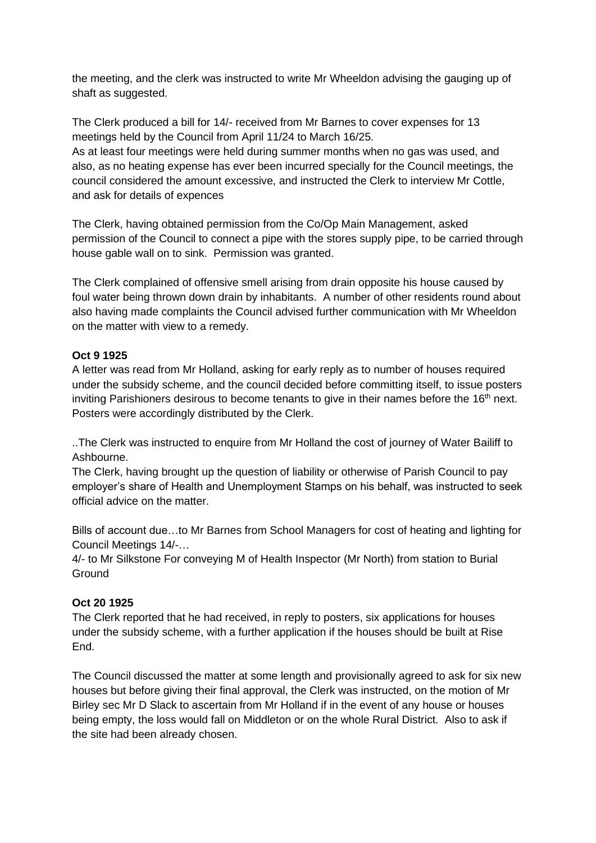the meeting, and the clerk was instructed to write Mr Wheeldon advising the gauging up of shaft as suggested.

The Clerk produced a bill for 14/- received from Mr Barnes to cover expenses for 13 meetings held by the Council from April 11/24 to March 16/25. As at least four meetings were held during summer months when no gas was used, and also, as no heating expense has ever been incurred specially for the Council meetings, the council considered the amount excessive, and instructed the Clerk to interview Mr Cottle, and ask for details of expences

The Clerk, having obtained permission from the Co/Op Main Management, asked permission of the Council to connect a pipe with the stores supply pipe, to be carried through house gable wall on to sink. Permission was granted.

The Clerk complained of offensive smell arising from drain opposite his house caused by foul water being thrown down drain by inhabitants. A number of other residents round about also having made complaints the Council advised further communication with Mr Wheeldon on the matter with view to a remedy.

# **Oct 9 1925**

A letter was read from Mr Holland, asking for early reply as to number of houses required under the subsidy scheme, and the council decided before committing itself, to issue posters inviting Parishioners desirous to become tenants to give in their names before the  $16<sup>th</sup>$  next. Posters were accordingly distributed by the Clerk.

..The Clerk was instructed to enquire from Mr Holland the cost of journey of Water Bailiff to Ashbourne.

The Clerk, having brought up the question of liability or otherwise of Parish Council to pay employer's share of Health and Unemployment Stamps on his behalf, was instructed to seek official advice on the matter.

Bills of account due…to Mr Barnes from School Managers for cost of heating and lighting for Council Meetings 14/-…

4/- to Mr Silkstone For conveying M of Health Inspector (Mr North) from station to Burial **Ground** 

# **Oct 20 1925**

The Clerk reported that he had received, in reply to posters, six applications for houses under the subsidy scheme, with a further application if the houses should be built at Rise End.

The Council discussed the matter at some length and provisionally agreed to ask for six new houses but before giving their final approval, the Clerk was instructed, on the motion of Mr Birley sec Mr D Slack to ascertain from Mr Holland if in the event of any house or houses being empty, the loss would fall on Middleton or on the whole Rural District. Also to ask if the site had been already chosen.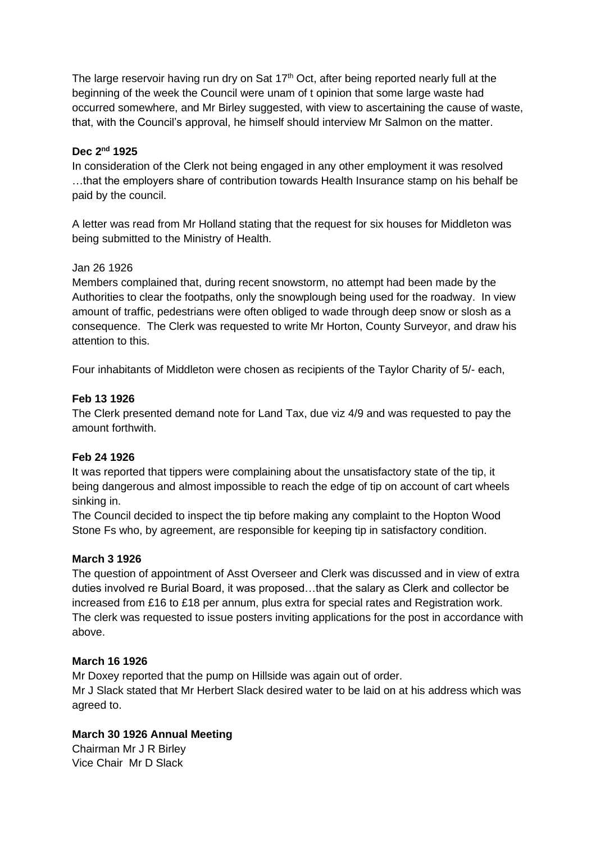The large reservoir having run dry on Sat  $17<sup>th</sup>$  Oct, after being reported nearly full at the beginning of the week the Council were unam of t opinion that some large waste had occurred somewhere, and Mr Birley suggested, with view to ascertaining the cause of waste, that, with the Council's approval, he himself should interview Mr Salmon on the matter.

# **Dec 2nd 1925**

In consideration of the Clerk not being engaged in any other employment it was resolved …that the employers share of contribution towards Health Insurance stamp on his behalf be paid by the council.

A letter was read from Mr Holland stating that the request for six houses for Middleton was being submitted to the Ministry of Health.

## Jan 26 1926

Members complained that, during recent snowstorm, no attempt had been made by the Authorities to clear the footpaths, only the snowplough being used for the roadway. In view amount of traffic, pedestrians were often obliged to wade through deep snow or slosh as a consequence. The Clerk was requested to write Mr Horton, County Surveyor, and draw his attention to this.

Four inhabitants of Middleton were chosen as recipients of the Taylor Charity of 5/- each,

# **Feb 13 1926**

The Clerk presented demand note for Land Tax, due viz 4/9 and was requested to pay the amount forthwith.

## **Feb 24 1926**

It was reported that tippers were complaining about the unsatisfactory state of the tip, it being dangerous and almost impossible to reach the edge of tip on account of cart wheels sinking in.

The Council decided to inspect the tip before making any complaint to the Hopton Wood Stone Fs who, by agreement, are responsible for keeping tip in satisfactory condition.

## **March 3 1926**

The question of appointment of Asst Overseer and Clerk was discussed and in view of extra duties involved re Burial Board, it was proposed…that the salary as Clerk and collector be increased from £16 to £18 per annum, plus extra for special rates and Registration work. The clerk was requested to issue posters inviting applications for the post in accordance with above.

## **March 16 1926**

Mr Doxey reported that the pump on Hillside was again out of order. Mr J Slack stated that Mr Herbert Slack desired water to be laid on at his address which was agreed to.

# **March 30 1926 Annual Meeting**

Chairman Mr J R Birley Vice Chair Mr D Slack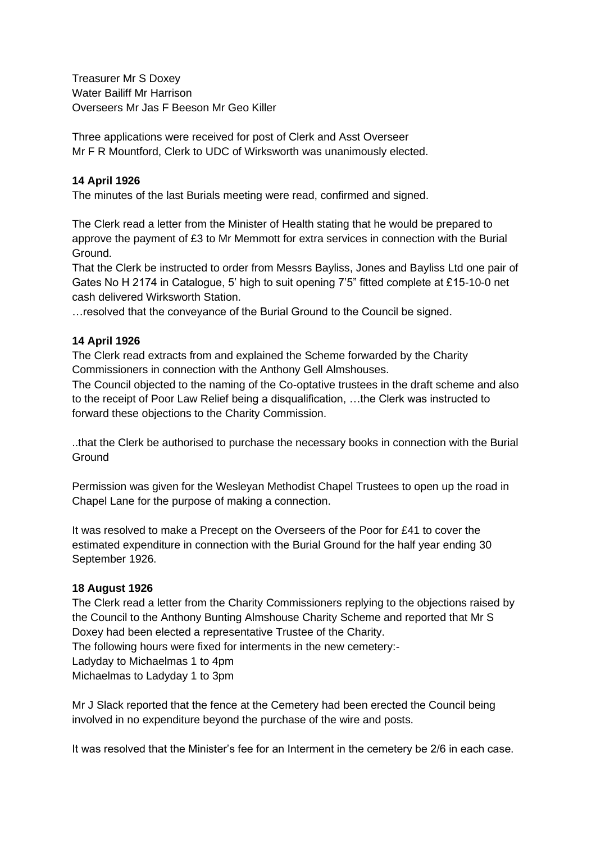Treasurer Mr S Doxey Water Bailiff Mr Harrison Overseers Mr Jas F Beeson Mr Geo Killer

Three applications were received for post of Clerk and Asst Overseer Mr F R Mountford, Clerk to UDC of Wirksworth was unanimously elected.

## **14 April 1926**

The minutes of the last Burials meeting were read, confirmed and signed.

The Clerk read a letter from the Minister of Health stating that he would be prepared to approve the payment of £3 to Mr Memmott for extra services in connection with the Burial Ground.

That the Clerk be instructed to order from Messrs Bayliss, Jones and Bayliss Ltd one pair of Gates No H 2174 in Catalogue, 5' high to suit opening 7'5" fitted complete at £15-10-0 net cash delivered Wirksworth Station.

…resolved that the conveyance of the Burial Ground to the Council be signed.

## **14 April 1926**

The Clerk read extracts from and explained the Scheme forwarded by the Charity Commissioners in connection with the Anthony Gell Almshouses.

The Council objected to the naming of the Co-optative trustees in the draft scheme and also to the receipt of Poor Law Relief being a disqualification, …the Clerk was instructed to forward these objections to the Charity Commission.

..that the Clerk be authorised to purchase the necessary books in connection with the Burial **Ground** 

Permission was given for the Wesleyan Methodist Chapel Trustees to open up the road in Chapel Lane for the purpose of making a connection.

It was resolved to make a Precept on the Overseers of the Poor for £41 to cover the estimated expenditure in connection with the Burial Ground for the half year ending 30 September 1926.

## **18 August 1926**

The Clerk read a letter from the Charity Commissioners replying to the objections raised by the Council to the Anthony Bunting Almshouse Charity Scheme and reported that Mr S Doxey had been elected a representative Trustee of the Charity. The following hours were fixed for interments in the new cemetery:- Ladyday to Michaelmas 1 to 4pm Michaelmas to Ladyday 1 to 3pm

Mr J Slack reported that the fence at the Cemetery had been erected the Council being involved in no expenditure beyond the purchase of the wire and posts.

It was resolved that the Minister's fee for an Interment in the cemetery be 2/6 in each case.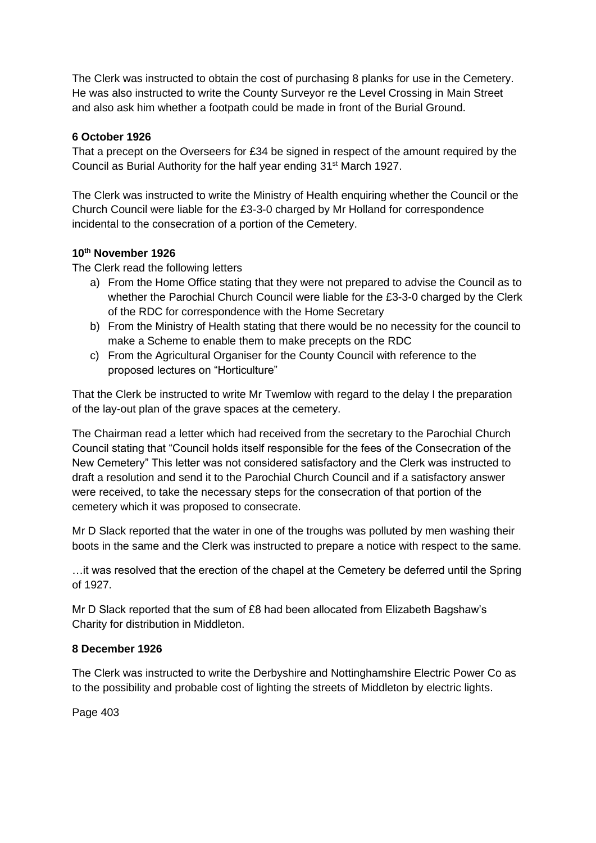The Clerk was instructed to obtain the cost of purchasing 8 planks for use in the Cemetery. He was also instructed to write the County Surveyor re the Level Crossing in Main Street and also ask him whether a footpath could be made in front of the Burial Ground.

# **6 October 1926**

That a precept on the Overseers for £34 be signed in respect of the amount required by the Council as Burial Authority for the half year ending 31st March 1927.

The Clerk was instructed to write the Ministry of Health enquiring whether the Council or the Church Council were liable for the £3-3-0 charged by Mr Holland for correspondence incidental to the consecration of a portion of the Cemetery.

# **10th November 1926**

The Clerk read the following letters

- a) From the Home Office stating that they were not prepared to advise the Council as to whether the Parochial Church Council were liable for the £3-3-0 charged by the Clerk of the RDC for correspondence with the Home Secretary
- b) From the Ministry of Health stating that there would be no necessity for the council to make a Scheme to enable them to make precepts on the RDC
- c) From the Agricultural Organiser for the County Council with reference to the proposed lectures on "Horticulture"

That the Clerk be instructed to write Mr Twemlow with regard to the delay I the preparation of the lay-out plan of the grave spaces at the cemetery.

The Chairman read a letter which had received from the secretary to the Parochial Church Council stating that "Council holds itself responsible for the fees of the Consecration of the New Cemetery" This letter was not considered satisfactory and the Clerk was instructed to draft a resolution and send it to the Parochial Church Council and if a satisfactory answer were received, to take the necessary steps for the consecration of that portion of the cemetery which it was proposed to consecrate.

Mr D Slack reported that the water in one of the troughs was polluted by men washing their boots in the same and the Clerk was instructed to prepare a notice with respect to the same.

…it was resolved that the erection of the chapel at the Cemetery be deferred until the Spring of 1927.

Mr D Slack reported that the sum of £8 had been allocated from Elizabeth Bagshaw's Charity for distribution in Middleton.

## **8 December 1926**

The Clerk was instructed to write the Derbyshire and Nottinghamshire Electric Power Co as to the possibility and probable cost of lighting the streets of Middleton by electric lights.

Page 403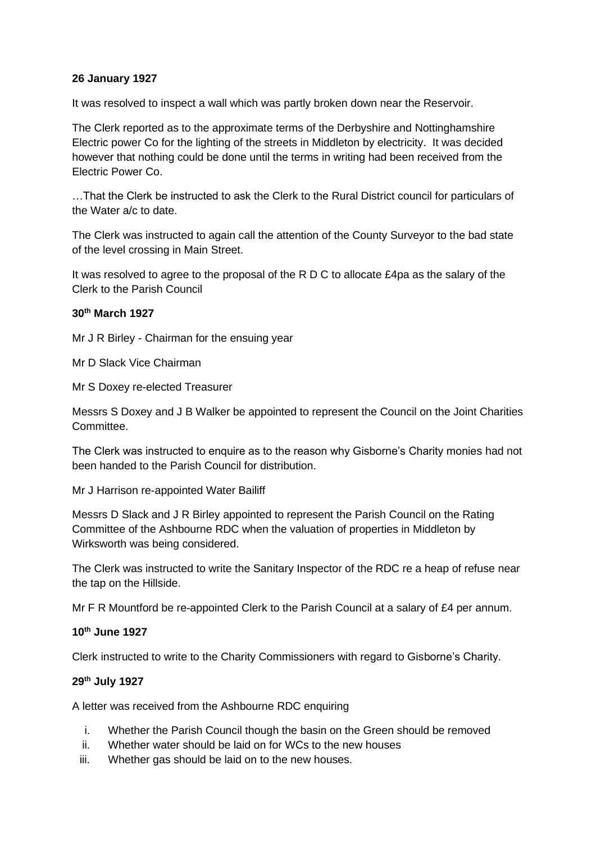## **26 January 1927**

It was resolved to inspect a wall which was partly broken down near the Reservoir.

The Clerk reported as to the approximate terms of the Derbyshire and Nottinghamshire Electric power Co for the lighting of the streets in Middleton by electricity. It was decided however that nothing could be done until the terms in writing had been received from the Electric Power Co.

…That the Clerk be instructed to ask the Clerk to the Rural District council for particulars of the Water a/c to date.

The Clerk was instructed to again call the attention of the County Surveyor to the bad state of the level crossing in Main Street.

It was resolved to agree to the proposal of the R D C to allocate £4pa as the salary of the Clerk to the Parish Council

## **30th March 1927**

Mr J R Birley - Chairman for the ensuing year

Mr D Slack Vice Chairman

Mr S Doxey re-elected Treasurer

Messrs S Doxey and J B Walker be appointed to represent the Council on the Joint Charities Committee.

The Clerk was instructed to enquire as to the reason why Gisborne's Charity monies had not been handed to the Parish Council for distribution.

Mr J Harrison re-appointed Water Bailiff

Messrs D Slack and J R Birley appointed to represent the Parish Council on the Rating Committee of the Ashbourne RDC when the valuation of properties in Middleton by Wirksworth was being considered.

The Clerk was instructed to write the Sanitary Inspector of the RDC re a heap of refuse near the tap on the Hillside.

Mr F R Mountford be re-appointed Clerk to the Parish Council at a salary of £4 per annum.

## **10 th June 1927**

Clerk instructed to write to the Charity Commissioners with regard to Gisborne's Charity.

## **29th July 1927**

A letter was received from the Ashbourne RDC enquiring

- i. Whether the Parish Council though the basin on the Green should be removed
- ii. Whether water should be laid on for WCs to the new houses
- iii. Whether gas should be laid on to the new houses.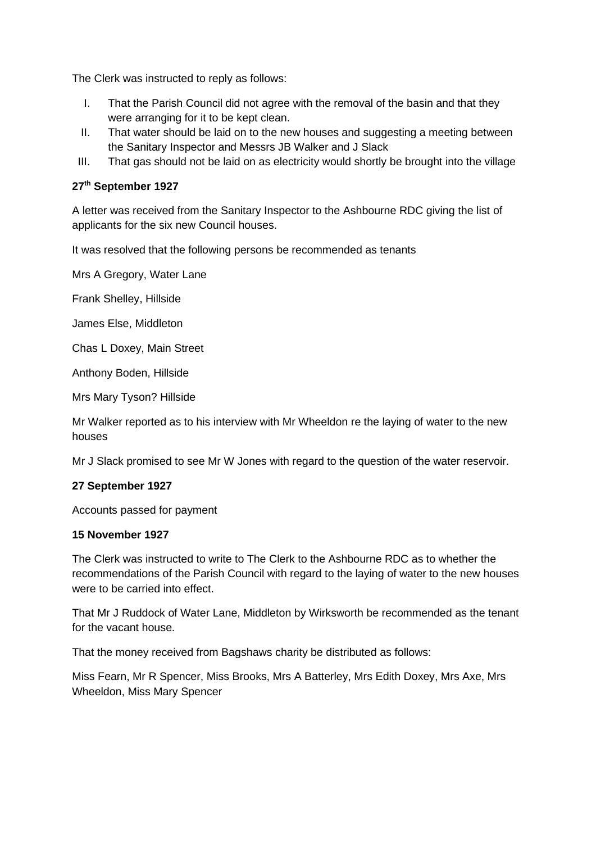The Clerk was instructed to reply as follows:

- I. That the Parish Council did not agree with the removal of the basin and that they were arranging for it to be kept clean.
- II. That water should be laid on to the new houses and suggesting a meeting between the Sanitary Inspector and Messrs JB Walker and J Slack
- III. That gas should not be laid on as electricity would shortly be brought into the village

## **27th September 1927**

A letter was received from the Sanitary Inspector to the Ashbourne RDC giving the list of applicants for the six new Council houses.

It was resolved that the following persons be recommended as tenants

Mrs A Gregory, Water Lane

Frank Shelley, Hillside

James Else, Middleton

Chas L Doxey, Main Street

Anthony Boden, Hillside

Mrs Mary Tyson? Hillside

Mr Walker reported as to his interview with Mr Wheeldon re the laying of water to the new houses

Mr J Slack promised to see Mr W Jones with regard to the question of the water reservoir.

## **27 September 1927**

Accounts passed for payment

## **15 November 1927**

The Clerk was instructed to write to The Clerk to the Ashbourne RDC as to whether the recommendations of the Parish Council with regard to the laying of water to the new houses were to be carried into effect.

That Mr J Ruddock of Water Lane, Middleton by Wirksworth be recommended as the tenant for the vacant house.

That the money received from Bagshaws charity be distributed as follows:

Miss Fearn, Mr R Spencer, Miss Brooks, Mrs A Batterley, Mrs Edith Doxey, Mrs Axe, Mrs Wheeldon, Miss Mary Spencer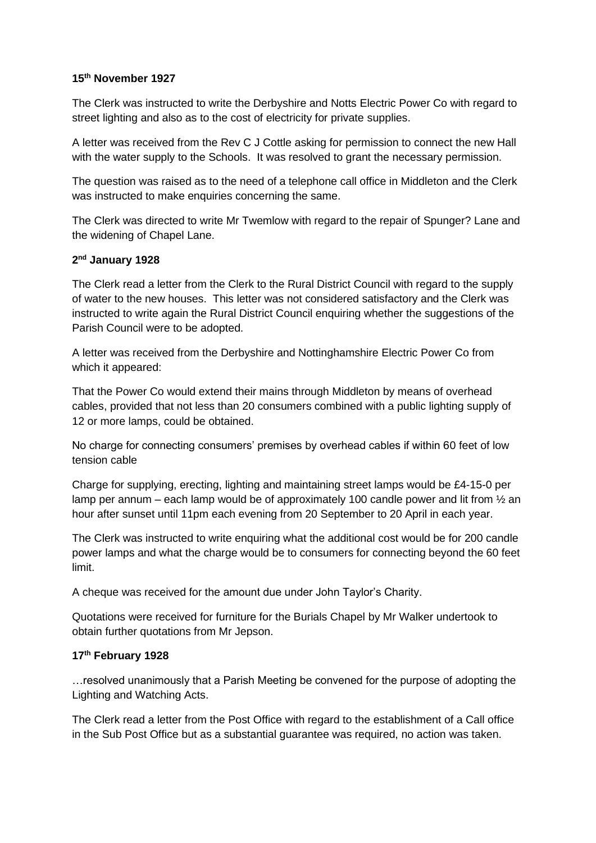## **15th November 1927**

The Clerk was instructed to write the Derbyshire and Notts Electric Power Co with regard to street lighting and also as to the cost of electricity for private supplies.

A letter was received from the Rev C J Cottle asking for permission to connect the new Hall with the water supply to the Schools. It was resolved to grant the necessary permission.

The question was raised as to the need of a telephone call office in Middleton and the Clerk was instructed to make enquiries concerning the same.

The Clerk was directed to write Mr Twemlow with regard to the repair of Spunger? Lane and the widening of Chapel Lane.

## **2 nd January 1928**

The Clerk read a letter from the Clerk to the Rural District Council with regard to the supply of water to the new houses. This letter was not considered satisfactory and the Clerk was instructed to write again the Rural District Council enquiring whether the suggestions of the Parish Council were to be adopted.

A letter was received from the Derbyshire and Nottinghamshire Electric Power Co from which it appeared:

That the Power Co would extend their mains through Middleton by means of overhead cables, provided that not less than 20 consumers combined with a public lighting supply of 12 or more lamps, could be obtained.

No charge for connecting consumers' premises by overhead cables if within 60 feet of low tension cable

Charge for supplying, erecting, lighting and maintaining street lamps would be £4-15-0 per lamp per annum – each lamp would be of approximately 100 candle power and lit from  $\frac{1}{2}$  an hour after sunset until 11pm each evening from 20 September to 20 April in each year.

The Clerk was instructed to write enquiring what the additional cost would be for 200 candle power lamps and what the charge would be to consumers for connecting beyond the 60 feet limit.

A cheque was received for the amount due under John Taylor's Charity.

Quotations were received for furniture for the Burials Chapel by Mr Walker undertook to obtain further quotations from Mr Jepson.

## **17th February 1928**

…resolved unanimously that a Parish Meeting be convened for the purpose of adopting the Lighting and Watching Acts.

The Clerk read a letter from the Post Office with regard to the establishment of a Call office in the Sub Post Office but as a substantial guarantee was required, no action was taken.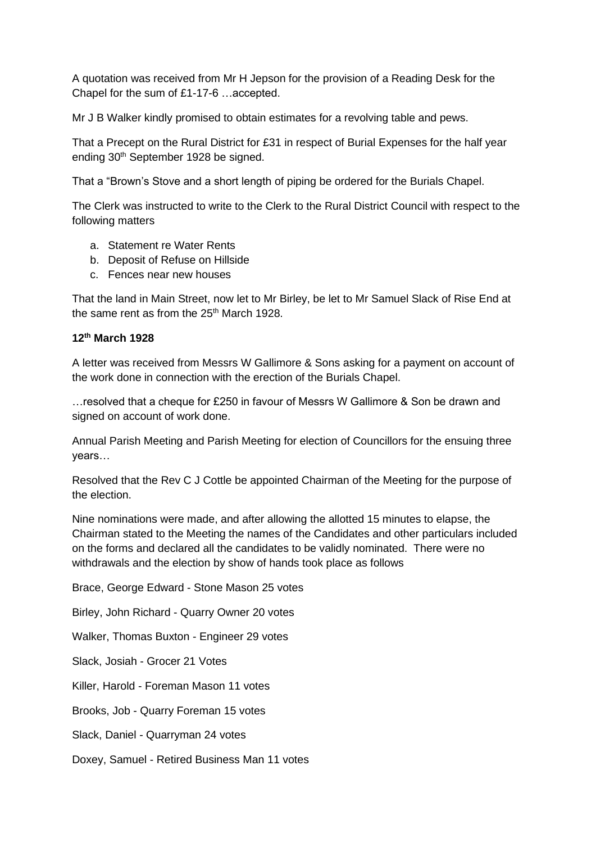A quotation was received from Mr H Jepson for the provision of a Reading Desk for the Chapel for the sum of £1-17-6 …accepted.

Mr J B Walker kindly promised to obtain estimates for a revolving table and pews.

That a Precept on the Rural District for £31 in respect of Burial Expenses for the half year ending 30<sup>th</sup> September 1928 be signed.

That a "Brown's Stove and a short length of piping be ordered for the Burials Chapel.

The Clerk was instructed to write to the Clerk to the Rural District Council with respect to the following matters

- a. Statement re Water Rents
- b. Deposit of Refuse on Hillside
- c. Fences near new houses

That the land in Main Street, now let to Mr Birley, be let to Mr Samuel Slack of Rise End at the same rent as from the  $25<sup>th</sup>$  March 1928.

# **12th March 1928**

A letter was received from Messrs W Gallimore & Sons asking for a payment on account of the work done in connection with the erection of the Burials Chapel.

…resolved that a cheque for £250 in favour of Messrs W Gallimore & Son be drawn and signed on account of work done.

Annual Parish Meeting and Parish Meeting for election of Councillors for the ensuing three years…

Resolved that the Rev C J Cottle be appointed Chairman of the Meeting for the purpose of the election.

Nine nominations were made, and after allowing the allotted 15 minutes to elapse, the Chairman stated to the Meeting the names of the Candidates and other particulars included on the forms and declared all the candidates to be validly nominated. There were no withdrawals and the election by show of hands took place as follows

Brace, George Edward - Stone Mason 25 votes Birley, John Richard - Quarry Owner 20 votes Walker, Thomas Buxton - Engineer 29 votes Slack, Josiah - Grocer 21 Votes Killer, Harold - Foreman Mason 11 votes Brooks, Job - Quarry Foreman 15 votes Slack, Daniel - Quarryman 24 votes Doxey, Samuel - Retired Business Man 11 votes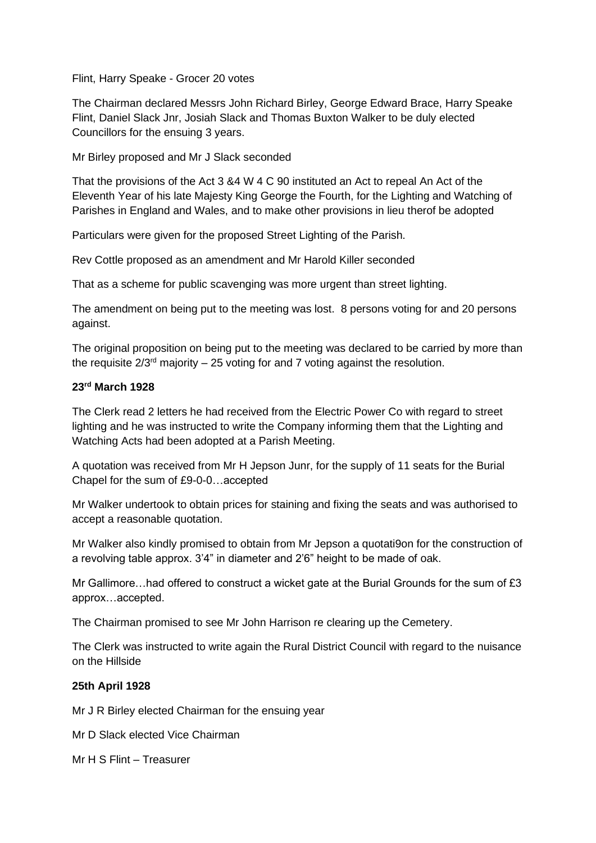Flint, Harry Speake - Grocer 20 votes

The Chairman declared Messrs John Richard Birley, George Edward Brace, Harry Speake Flint, Daniel Slack Jnr, Josiah Slack and Thomas Buxton Walker to be duly elected Councillors for the ensuing 3 years.

Mr Birley proposed and Mr J Slack seconded

That the provisions of the Act 3 &4 W 4 C 90 instituted an Act to repeal An Act of the Eleventh Year of his late Majesty King George the Fourth, for the Lighting and Watching of Parishes in England and Wales, and to make other provisions in lieu therof be adopted

Particulars were given for the proposed Street Lighting of the Parish.

Rev Cottle proposed as an amendment and Mr Harold Killer seconded

That as a scheme for public scavenging was more urgent than street lighting.

The amendment on being put to the meeting was lost. 8 persons voting for and 20 persons against.

The original proposition on being put to the meeting was declared to be carried by more than the requisite  $2/3^{rd}$  majority – 25 voting for and 7 voting against the resolution.

### **23rd March 1928**

The Clerk read 2 letters he had received from the Electric Power Co with regard to street lighting and he was instructed to write the Company informing them that the Lighting and Watching Acts had been adopted at a Parish Meeting.

A quotation was received from Mr H Jepson Junr, for the supply of 11 seats for the Burial Chapel for the sum of £9-0-0…accepted

Mr Walker undertook to obtain prices for staining and fixing the seats and was authorised to accept a reasonable quotation.

Mr Walker also kindly promised to obtain from Mr Jepson a quotati9on for the construction of a revolving table approx. 3'4" in diameter and 2'6" height to be made of oak.

Mr Gallimore…had offered to construct a wicket gate at the Burial Grounds for the sum of £3 approx…accepted.

The Chairman promised to see Mr John Harrison re clearing up the Cemetery.

The Clerk was instructed to write again the Rural District Council with regard to the nuisance on the Hillside

## **25th April 1928**

Mr J R Birley elected Chairman for the ensuing year

Mr D Slack elected Vice Chairman

Mr H S Flint – Treasurer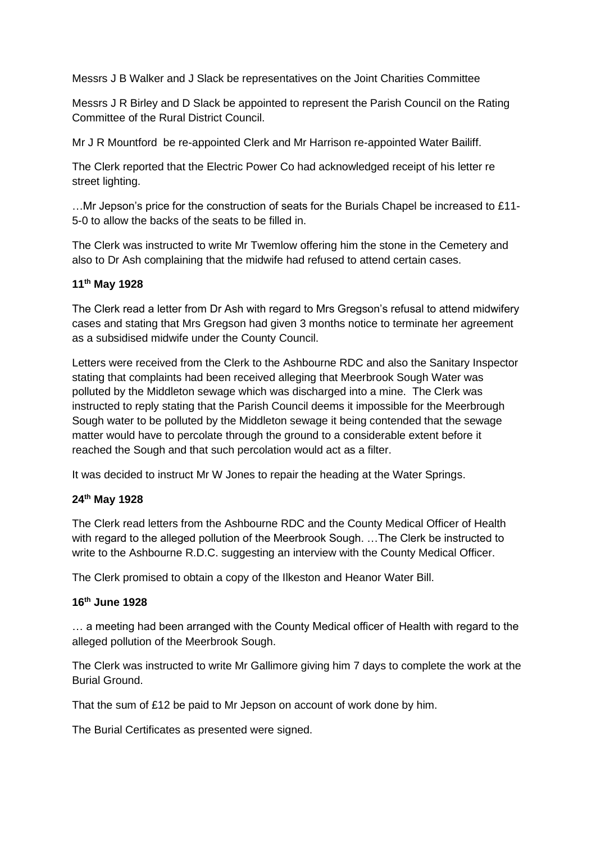Messrs J B Walker and J Slack be representatives on the Joint Charities Committee

Messrs J R Birley and D Slack be appointed to represent the Parish Council on the Rating Committee of the Rural District Council.

Mr J R Mountford be re-appointed Clerk and Mr Harrison re-appointed Water Bailiff.

The Clerk reported that the Electric Power Co had acknowledged receipt of his letter re street lighting.

…Mr Jepson's price for the construction of seats for the Burials Chapel be increased to £11- 5-0 to allow the backs of the seats to be filled in.

The Clerk was instructed to write Mr Twemlow offering him the stone in the Cemetery and also to Dr Ash complaining that the midwife had refused to attend certain cases.

# **11th May 1928**

The Clerk read a letter from Dr Ash with regard to Mrs Gregson's refusal to attend midwifery cases and stating that Mrs Gregson had given 3 months notice to terminate her agreement as a subsidised midwife under the County Council.

Letters were received from the Clerk to the Ashbourne RDC and also the Sanitary Inspector stating that complaints had been received alleging that Meerbrook Sough Water was polluted by the Middleton sewage which was discharged into a mine. The Clerk was instructed to reply stating that the Parish Council deems it impossible for the Meerbrough Sough water to be polluted by the Middleton sewage it being contended that the sewage matter would have to percolate through the ground to a considerable extent before it reached the Sough and that such percolation would act as a filter.

It was decided to instruct Mr W Jones to repair the heading at the Water Springs.

## **24th May 1928**

The Clerk read letters from the Ashbourne RDC and the County Medical Officer of Health with regard to the alleged pollution of the Meerbrook Sough. ... The Clerk be instructed to write to the Ashbourne R.D.C. suggesting an interview with the County Medical Officer.

The Clerk promised to obtain a copy of the Ilkeston and Heanor Water Bill.

## **16th June 1928**

… a meeting had been arranged with the County Medical officer of Health with regard to the alleged pollution of the Meerbrook Sough.

The Clerk was instructed to write Mr Gallimore giving him 7 days to complete the work at the Burial Ground.

That the sum of £12 be paid to Mr Jepson on account of work done by him.

The Burial Certificates as presented were signed.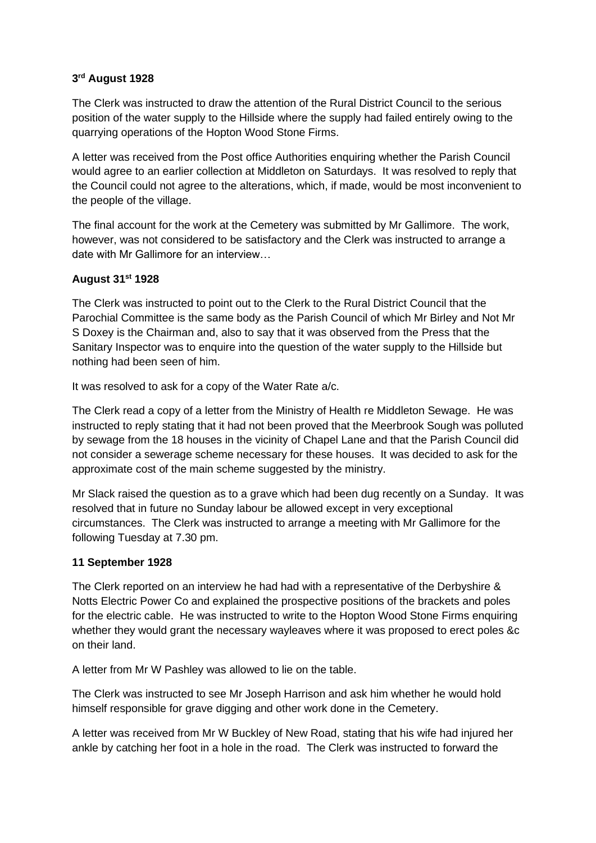## **3 rd August 1928**

The Clerk was instructed to draw the attention of the Rural District Council to the serious position of the water supply to the Hillside where the supply had failed entirely owing to the quarrying operations of the Hopton Wood Stone Firms.

A letter was received from the Post office Authorities enquiring whether the Parish Council would agree to an earlier collection at Middleton on Saturdays. It was resolved to reply that the Council could not agree to the alterations, which, if made, would be most inconvenient to the people of the village.

The final account for the work at the Cemetery was submitted by Mr Gallimore. The work, however, was not considered to be satisfactory and the Clerk was instructed to arrange a date with Mr Gallimore for an interview…

# **August 31st 1928**

The Clerk was instructed to point out to the Clerk to the Rural District Council that the Parochial Committee is the same body as the Parish Council of which Mr Birley and Not Mr S Doxey is the Chairman and, also to say that it was observed from the Press that the Sanitary Inspector was to enquire into the question of the water supply to the Hillside but nothing had been seen of him.

It was resolved to ask for a copy of the Water Rate a/c.

The Clerk read a copy of a letter from the Ministry of Health re Middleton Sewage. He was instructed to reply stating that it had not been proved that the Meerbrook Sough was polluted by sewage from the 18 houses in the vicinity of Chapel Lane and that the Parish Council did not consider a sewerage scheme necessary for these houses. It was decided to ask for the approximate cost of the main scheme suggested by the ministry.

Mr Slack raised the question as to a grave which had been dug recently on a Sunday. It was resolved that in future no Sunday labour be allowed except in very exceptional circumstances. The Clerk was instructed to arrange a meeting with Mr Gallimore for the following Tuesday at 7.30 pm.

# **11 September 1928**

The Clerk reported on an interview he had had with a representative of the Derbyshire & Notts Electric Power Co and explained the prospective positions of the brackets and poles for the electric cable. He was instructed to write to the Hopton Wood Stone Firms enquiring whether they would grant the necessary wayleaves where it was proposed to erect poles &c on their land.

A letter from Mr W Pashley was allowed to lie on the table.

The Clerk was instructed to see Mr Joseph Harrison and ask him whether he would hold himself responsible for grave digging and other work done in the Cemetery.

A letter was received from Mr W Buckley of New Road, stating that his wife had injured her ankle by catching her foot in a hole in the road. The Clerk was instructed to forward the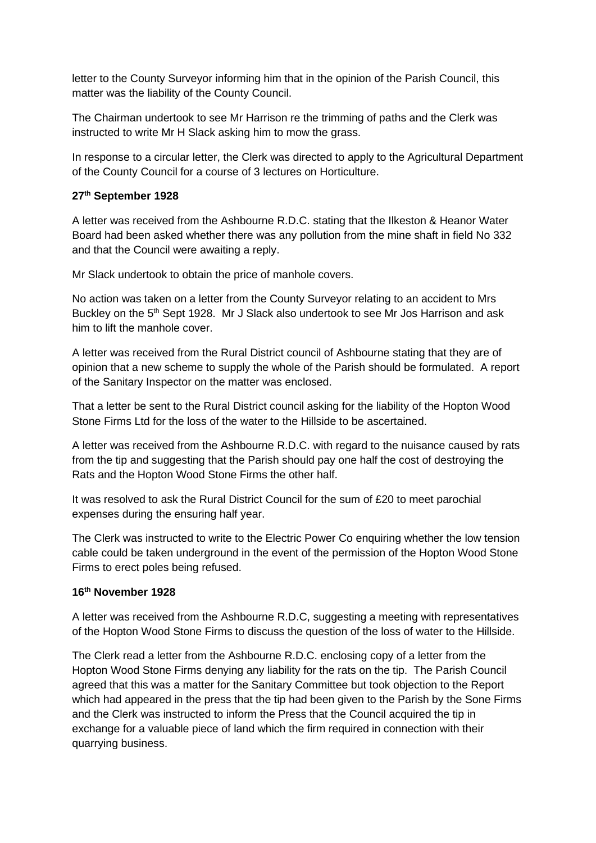letter to the County Surveyor informing him that in the opinion of the Parish Council, this matter was the liability of the County Council.

The Chairman undertook to see Mr Harrison re the trimming of paths and the Clerk was instructed to write Mr H Slack asking him to mow the grass.

In response to a circular letter, the Clerk was directed to apply to the Agricultural Department of the County Council for a course of 3 lectures on Horticulture.

# **27th September 1928**

A letter was received from the Ashbourne R.D.C. stating that the Ilkeston & Heanor Water Board had been asked whether there was any pollution from the mine shaft in field No 332 and that the Council were awaiting a reply.

Mr Slack undertook to obtain the price of manhole covers.

No action was taken on a letter from the County Surveyor relating to an accident to Mrs Buckley on the 5<sup>th</sup> Sept 1928. Mr J Slack also undertook to see Mr Jos Harrison and ask him to lift the manhole cover.

A letter was received from the Rural District council of Ashbourne stating that they are of opinion that a new scheme to supply the whole of the Parish should be formulated. A report of the Sanitary Inspector on the matter was enclosed.

That a letter be sent to the Rural District council asking for the liability of the Hopton Wood Stone Firms Ltd for the loss of the water to the Hillside to be ascertained.

A letter was received from the Ashbourne R.D.C. with regard to the nuisance caused by rats from the tip and suggesting that the Parish should pay one half the cost of destroying the Rats and the Hopton Wood Stone Firms the other half.

It was resolved to ask the Rural District Council for the sum of £20 to meet parochial expenses during the ensuring half year.

The Clerk was instructed to write to the Electric Power Co enquiring whether the low tension cable could be taken underground in the event of the permission of the Hopton Wood Stone Firms to erect poles being refused.

## **16th November 1928**

A letter was received from the Ashbourne R.D.C, suggesting a meeting with representatives of the Hopton Wood Stone Firms to discuss the question of the loss of water to the Hillside.

The Clerk read a letter from the Ashbourne R.D.C. enclosing copy of a letter from the Hopton Wood Stone Firms denying any liability for the rats on the tip. The Parish Council agreed that this was a matter for the Sanitary Committee but took objection to the Report which had appeared in the press that the tip had been given to the Parish by the Sone Firms and the Clerk was instructed to inform the Press that the Council acquired the tip in exchange for a valuable piece of land which the firm required in connection with their quarrying business.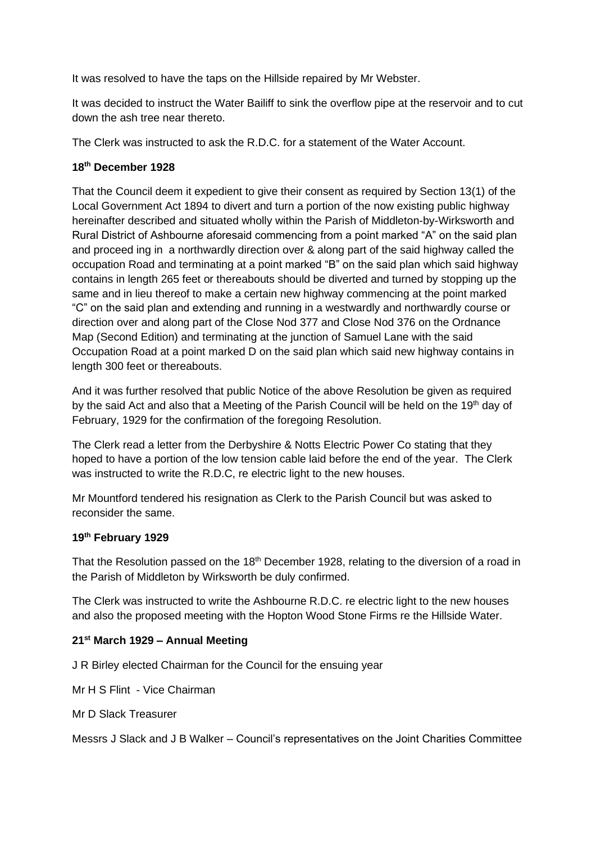It was resolved to have the taps on the Hillside repaired by Mr Webster.

It was decided to instruct the Water Bailiff to sink the overflow pipe at the reservoir and to cut down the ash tree near thereto.

The Clerk was instructed to ask the R.D.C. for a statement of the Water Account.

# **18th December 1928**

That the Council deem it expedient to give their consent as required by Section 13(1) of the Local Government Act 1894 to divert and turn a portion of the now existing public highway hereinafter described and situated wholly within the Parish of Middleton-by-Wirksworth and Rural District of Ashbourne aforesaid commencing from a point marked "A" on the said plan and proceed ing in a northwardly direction over & along part of the said highway called the occupation Road and terminating at a point marked "B" on the said plan which said highway contains in length 265 feet or thereabouts should be diverted and turned by stopping up the same and in lieu thereof to make a certain new highway commencing at the point marked "C" on the said plan and extending and running in a westwardly and northwardly course or direction over and along part of the Close Nod 377 and Close Nod 376 on the Ordnance Map (Second Edition) and terminating at the junction of Samuel Lane with the said Occupation Road at a point marked D on the said plan which said new highway contains in length 300 feet or thereabouts.

And it was further resolved that public Notice of the above Resolution be given as required by the said Act and also that a Meeting of the Parish Council will be held on the 19<sup>th</sup> day of February, 1929 for the confirmation of the foregoing Resolution.

The Clerk read a letter from the Derbyshire & Notts Electric Power Co stating that they hoped to have a portion of the low tension cable laid before the end of the year. The Clerk was instructed to write the R.D.C, re electric light to the new houses.

Mr Mountford tendered his resignation as Clerk to the Parish Council but was asked to reconsider the same.

## **19th February 1929**

That the Resolution passed on the 18<sup>th</sup> December 1928, relating to the diversion of a road in the Parish of Middleton by Wirksworth be duly confirmed.

The Clerk was instructed to write the Ashbourne R.D.C. re electric light to the new houses and also the proposed meeting with the Hopton Wood Stone Firms re the Hillside Water.

# **21st March 1929 – Annual Meeting**

J R Birley elected Chairman for the Council for the ensuing year

Mr H S Flint - Vice Chairman

Mr D Slack Treasurer

Messrs J Slack and J B Walker – Council's representatives on the Joint Charities Committee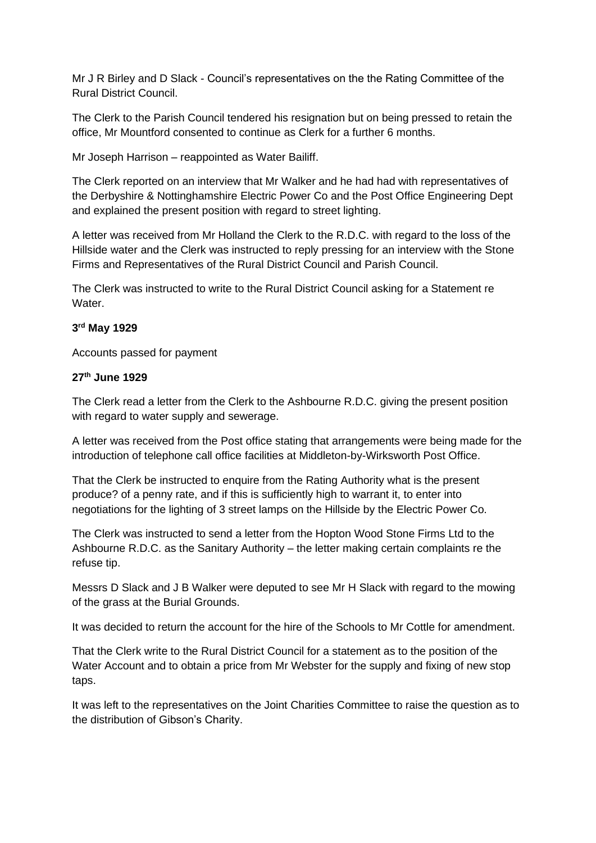Mr J R Birley and D Slack - Council's representatives on the the Rating Committee of the Rural District Council.

The Clerk to the Parish Council tendered his resignation but on being pressed to retain the office, Mr Mountford consented to continue as Clerk for a further 6 months.

Mr Joseph Harrison – reappointed as Water Bailiff.

The Clerk reported on an interview that Mr Walker and he had had with representatives of the Derbyshire & Nottinghamshire Electric Power Co and the Post Office Engineering Dept and explained the present position with regard to street lighting.

A letter was received from Mr Holland the Clerk to the R.D.C. with regard to the loss of the Hillside water and the Clerk was instructed to reply pressing for an interview with the Stone Firms and Representatives of the Rural District Council and Parish Council.

The Clerk was instructed to write to the Rural District Council asking for a Statement re Water.

## **3 rd May 1929**

Accounts passed for payment

#### **27th June 1929**

The Clerk read a letter from the Clerk to the Ashbourne R.D.C. giving the present position with regard to water supply and sewerage.

A letter was received from the Post office stating that arrangements were being made for the introduction of telephone call office facilities at Middleton-by-Wirksworth Post Office.

That the Clerk be instructed to enquire from the Rating Authority what is the present produce? of a penny rate, and if this is sufficiently high to warrant it, to enter into negotiations for the lighting of 3 street lamps on the Hillside by the Electric Power Co.

The Clerk was instructed to send a letter from the Hopton Wood Stone Firms Ltd to the Ashbourne R.D.C. as the Sanitary Authority – the letter making certain complaints re the refuse tip.

Messrs D Slack and J B Walker were deputed to see Mr H Slack with regard to the mowing of the grass at the Burial Grounds.

It was decided to return the account for the hire of the Schools to Mr Cottle for amendment.

That the Clerk write to the Rural District Council for a statement as to the position of the Water Account and to obtain a price from Mr Webster for the supply and fixing of new stop taps.

It was left to the representatives on the Joint Charities Committee to raise the question as to the distribution of Gibson's Charity.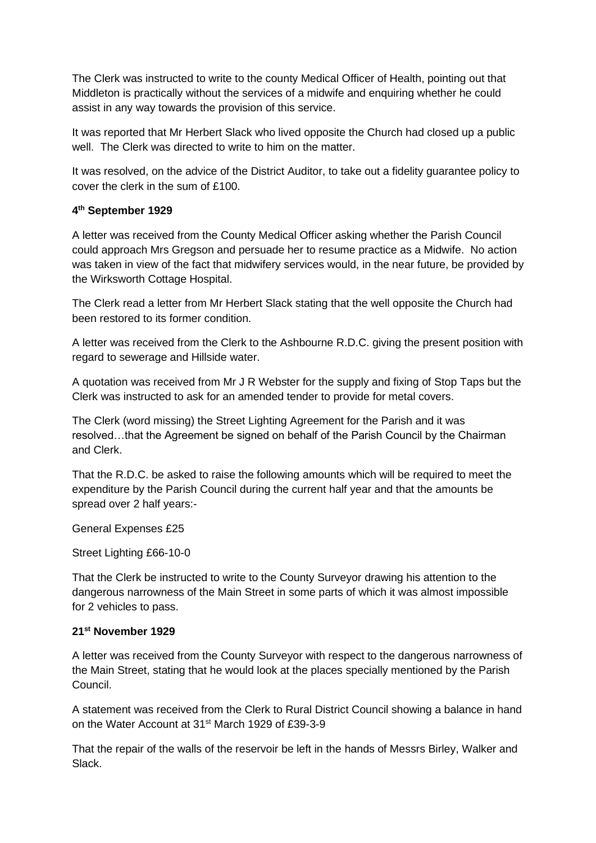The Clerk was instructed to write to the county Medical Officer of Health, pointing out that Middleton is practically without the services of a midwife and enquiring whether he could assist in any way towards the provision of this service.

It was reported that Mr Herbert Slack who lived opposite the Church had closed up a public well. The Clerk was directed to write to him on the matter.

It was resolved, on the advice of the District Auditor, to take out a fidelity guarantee policy to cover the clerk in the sum of £100.

## **4 th September 1929**

A letter was received from the County Medical Officer asking whether the Parish Council could approach Mrs Gregson and persuade her to resume practice as a Midwife. No action was taken in view of the fact that midwifery services would, in the near future, be provided by the Wirksworth Cottage Hospital.

The Clerk read a letter from Mr Herbert Slack stating that the well opposite the Church had been restored to its former condition.

A letter was received from the Clerk to the Ashbourne R.D.C. giving the present position with regard to sewerage and Hillside water.

A quotation was received from Mr J R Webster for the supply and fixing of Stop Taps but the Clerk was instructed to ask for an amended tender to provide for metal covers.

The Clerk (word missing) the Street Lighting Agreement for the Parish and it was resolved…that the Agreement be signed on behalf of the Parish Council by the Chairman and Clerk.

That the R.D.C. be asked to raise the following amounts which will be required to meet the expenditure by the Parish Council during the current half year and that the amounts be spread over 2 half years:-

General Expenses £25

Street Lighting £66-10-0

That the Clerk be instructed to write to the County Surveyor drawing his attention to the dangerous narrowness of the Main Street in some parts of which it was almost impossible for 2 vehicles to pass.

## **21st November 1929**

A letter was received from the County Surveyor with respect to the dangerous narrowness of the Main Street, stating that he would look at the places specially mentioned by the Parish Council.

A statement was received from the Clerk to Rural District Council showing a balance in hand on the Water Account at 31<sup>st</sup> March 1929 of £39-3-9

That the repair of the walls of the reservoir be left in the hands of Messrs Birley, Walker and Slack.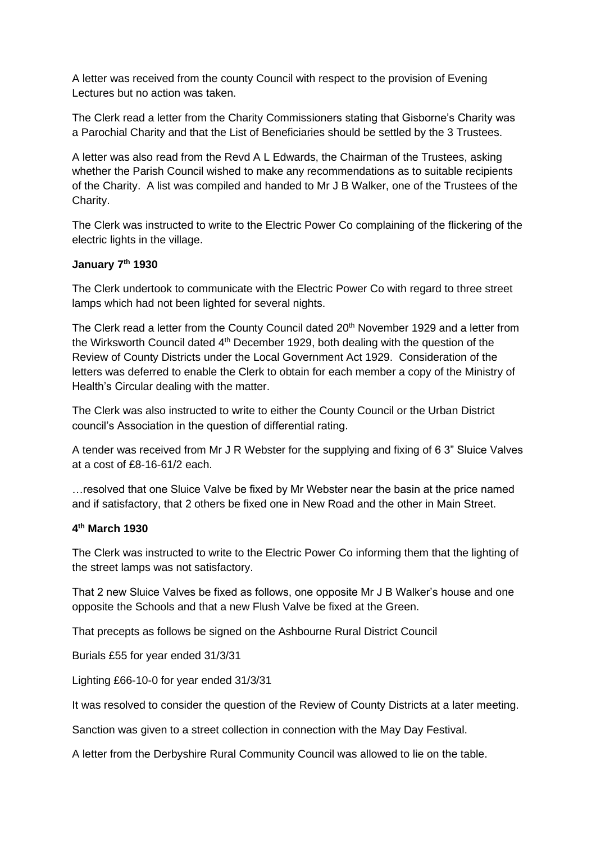A letter was received from the county Council with respect to the provision of Evening Lectures but no action was taken.

The Clerk read a letter from the Charity Commissioners stating that Gisborne's Charity was a Parochial Charity and that the List of Beneficiaries should be settled by the 3 Trustees.

A letter was also read from the Revd A L Edwards, the Chairman of the Trustees, asking whether the Parish Council wished to make any recommendations as to suitable recipients of the Charity. A list was compiled and handed to Mr J B Walker, one of the Trustees of the Charity.

The Clerk was instructed to write to the Electric Power Co complaining of the flickering of the electric lights in the village.

## **January 7th 1930**

The Clerk undertook to communicate with the Electric Power Co with regard to three street lamps which had not been lighted for several nights.

The Clerk read a letter from the County Council dated 20<sup>th</sup> November 1929 and a letter from the Wirksworth Council dated 4<sup>th</sup> December 1929, both dealing with the question of the Review of County Districts under the Local Government Act 1929. Consideration of the letters was deferred to enable the Clerk to obtain for each member a copy of the Ministry of Health's Circular dealing with the matter.

The Clerk was also instructed to write to either the County Council or the Urban District council's Association in the question of differential rating.

A tender was received from Mr J R Webster for the supplying and fixing of 6 3" Sluice Valves at a cost of £8-16-61/2 each.

…resolved that one Sluice Valve be fixed by Mr Webster near the basin at the price named and if satisfactory, that 2 others be fixed one in New Road and the other in Main Street.

## **4 th March 1930**

The Clerk was instructed to write to the Electric Power Co informing them that the lighting of the street lamps was not satisfactory.

That 2 new Sluice Valves be fixed as follows, one opposite Mr J B Walker's house and one opposite the Schools and that a new Flush Valve be fixed at the Green.

That precepts as follows be signed on the Ashbourne Rural District Council

Burials £55 for year ended 31/3/31

Lighting £66-10-0 for year ended 31/3/31

It was resolved to consider the question of the Review of County Districts at a later meeting.

Sanction was given to a street collection in connection with the May Day Festival.

A letter from the Derbyshire Rural Community Council was allowed to lie on the table.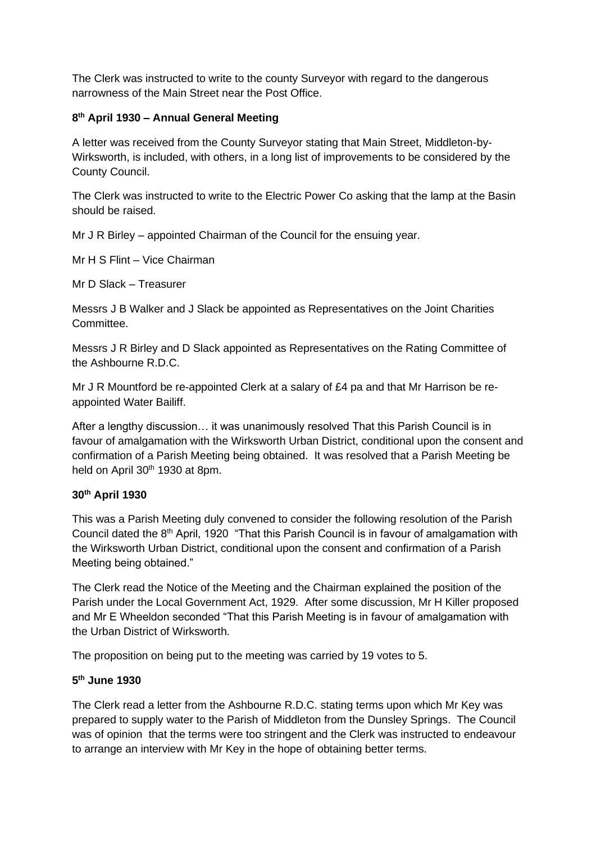The Clerk was instructed to write to the county Surveyor with regard to the dangerous narrowness of the Main Street near the Post Office.

# **8 th April 1930 – Annual General Meeting**

A letter was received from the County Surveyor stating that Main Street, Middleton-by-Wirksworth, is included, with others, in a long list of improvements to be considered by the County Council.

The Clerk was instructed to write to the Electric Power Co asking that the lamp at the Basin should be raised.

Mr J R Birley – appointed Chairman of the Council for the ensuing year.

Mr H S Flint – Vice Chairman

Mr D Slack – Treasurer

Messrs J B Walker and J Slack be appointed as Representatives on the Joint Charities Committee.

Messrs J R Birley and D Slack appointed as Representatives on the Rating Committee of the Ashbourne R.D.C.

Mr J R Mountford be re-appointed Clerk at a salary of  $£4$  pa and that Mr Harrison be reappointed Water Bailiff.

After a lengthy discussion… it was unanimously resolved That this Parish Council is in favour of amalgamation with the Wirksworth Urban District, conditional upon the consent and confirmation of a Parish Meeting being obtained. It was resolved that a Parish Meeting be held on April 30<sup>th</sup> 1930 at 8pm.

## **30th April 1930**

This was a Parish Meeting duly convened to consider the following resolution of the Parish Council dated the 8<sup>th</sup> April, 1920 "That this Parish Council is in favour of amalgamation with the Wirksworth Urban District, conditional upon the consent and confirmation of a Parish Meeting being obtained."

The Clerk read the Notice of the Meeting and the Chairman explained the position of the Parish under the Local Government Act, 1929. After some discussion, Mr H Killer proposed and Mr E Wheeldon seconded "That this Parish Meeting is in favour of amalgamation with the Urban District of Wirksworth.

The proposition on being put to the meeting was carried by 19 votes to 5.

## **5 th June 1930**

The Clerk read a letter from the Ashbourne R.D.C. stating terms upon which Mr Key was prepared to supply water to the Parish of Middleton from the Dunsley Springs. The Council was of opinion that the terms were too stringent and the Clerk was instructed to endeavour to arrange an interview with Mr Key in the hope of obtaining better terms.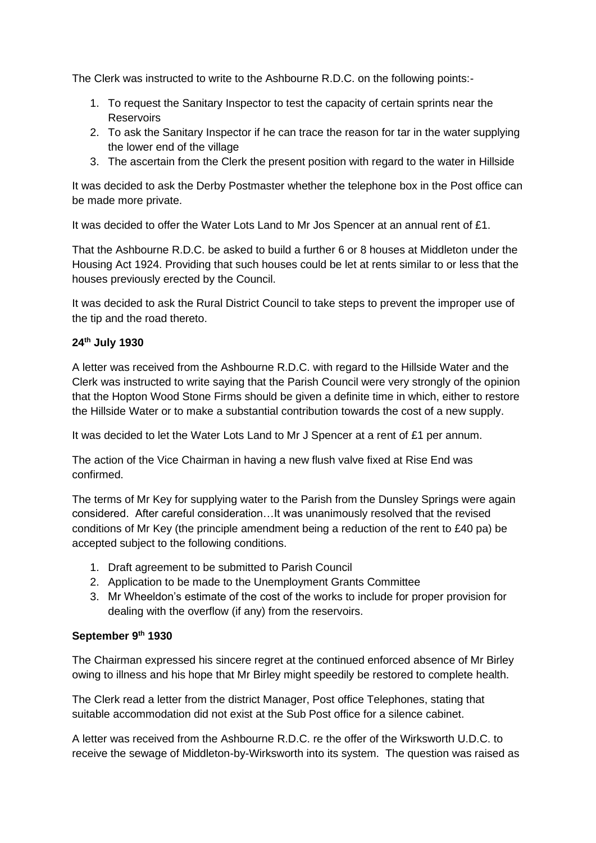The Clerk was instructed to write to the Ashbourne R.D.C. on the following points:-

- 1. To request the Sanitary Inspector to test the capacity of certain sprints near the **Reservoirs**
- 2. To ask the Sanitary Inspector if he can trace the reason for tar in the water supplying the lower end of the village
- 3. The ascertain from the Clerk the present position with regard to the water in Hillside

It was decided to ask the Derby Postmaster whether the telephone box in the Post office can be made more private.

It was decided to offer the Water Lots Land to Mr Jos Spencer at an annual rent of £1.

That the Ashbourne R.D.C. be asked to build a further 6 or 8 houses at Middleton under the Housing Act 1924. Providing that such houses could be let at rents similar to or less that the houses previously erected by the Council.

It was decided to ask the Rural District Council to take steps to prevent the improper use of the tip and the road thereto.

# **24th July 1930**

A letter was received from the Ashbourne R.D.C. with regard to the Hillside Water and the Clerk was instructed to write saying that the Parish Council were very strongly of the opinion that the Hopton Wood Stone Firms should be given a definite time in which, either to restore the Hillside Water or to make a substantial contribution towards the cost of a new supply.

It was decided to let the Water Lots Land to Mr J Spencer at a rent of £1 per annum.

The action of the Vice Chairman in having a new flush valve fixed at Rise End was confirmed.

The terms of Mr Key for supplying water to the Parish from the Dunsley Springs were again considered. After careful consideration…It was unanimously resolved that the revised conditions of Mr Key (the principle amendment being a reduction of the rent to £40 pa) be accepted subject to the following conditions.

- 1. Draft agreement to be submitted to Parish Council
- 2. Application to be made to the Unemployment Grants Committee
- 3. Mr Wheeldon's estimate of the cost of the works to include for proper provision for dealing with the overflow (if any) from the reservoirs.

# **September 9th 1930**

The Chairman expressed his sincere regret at the continued enforced absence of Mr Birley owing to illness and his hope that Mr Birley might speedily be restored to complete health.

The Clerk read a letter from the district Manager, Post office Telephones, stating that suitable accommodation did not exist at the Sub Post office for a silence cabinet.

A letter was received from the Ashbourne R.D.C. re the offer of the Wirksworth U.D.C. to receive the sewage of Middleton-by-Wirksworth into its system. The question was raised as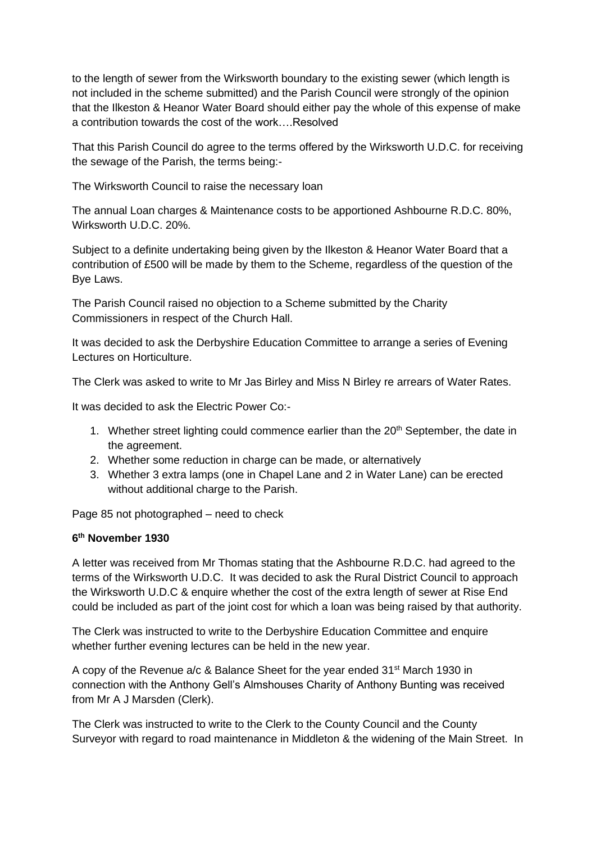to the length of sewer from the Wirksworth boundary to the existing sewer (which length is not included in the scheme submitted) and the Parish Council were strongly of the opinion that the Ilkeston & Heanor Water Board should either pay the whole of this expense of make a contribution towards the cost of the work….Resolved

That this Parish Council do agree to the terms offered by the Wirksworth U.D.C. for receiving the sewage of the Parish, the terms being:-

The Wirksworth Council to raise the necessary loan

The annual Loan charges & Maintenance costs to be apportioned Ashbourne R.D.C. 80%, Wirksworth U.D.C. 20%.

Subject to a definite undertaking being given by the Ilkeston & Heanor Water Board that a contribution of £500 will be made by them to the Scheme, regardless of the question of the Bye Laws.

The Parish Council raised no objection to a Scheme submitted by the Charity Commissioners in respect of the Church Hall.

It was decided to ask the Derbyshire Education Committee to arrange a series of Evening Lectures on Horticulture.

The Clerk was asked to write to Mr Jas Birley and Miss N Birley re arrears of Water Rates.

It was decided to ask the Electric Power Co:-

- 1. Whether street lighting could commence earlier than the 20<sup>th</sup> September, the date in the agreement.
- 2. Whether some reduction in charge can be made, or alternatively
- 3. Whether 3 extra lamps (one in Chapel Lane and 2 in Water Lane) can be erected without additional charge to the Parish.

Page 85 not photographed – need to check

## **6 th November 1930**

A letter was received from Mr Thomas stating that the Ashbourne R.D.C. had agreed to the terms of the Wirksworth U.D.C. It was decided to ask the Rural District Council to approach the Wirksworth U.D.C & enquire whether the cost of the extra length of sewer at Rise End could be included as part of the joint cost for which a loan was being raised by that authority.

The Clerk was instructed to write to the Derbyshire Education Committee and enquire whether further evening lectures can be held in the new year.

A copy of the Revenue a/c & Balance Sheet for the year ended 31<sup>st</sup> March 1930 in connection with the Anthony Gell's Almshouses Charity of Anthony Bunting was received from Mr A J Marsden (Clerk).

The Clerk was instructed to write to the Clerk to the County Council and the County Surveyor with regard to road maintenance in Middleton & the widening of the Main Street. In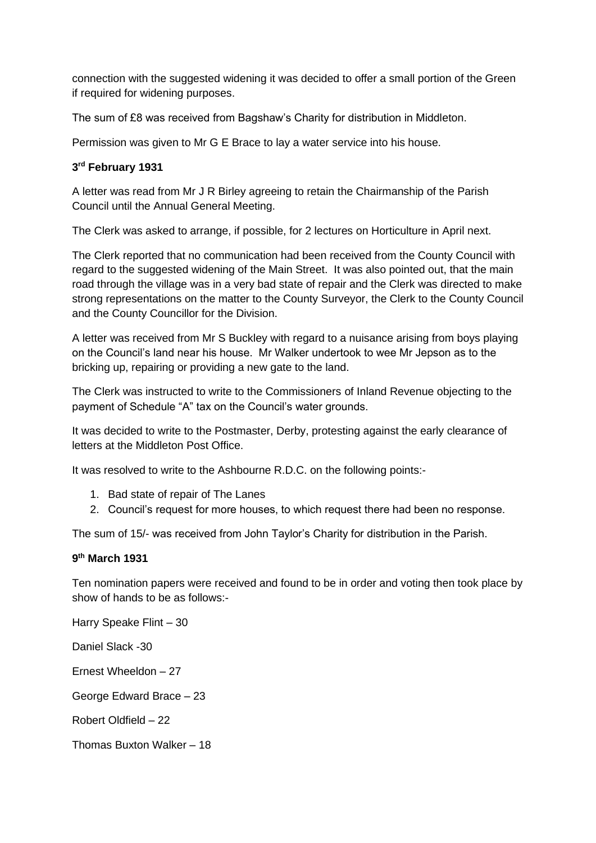connection with the suggested widening it was decided to offer a small portion of the Green if required for widening purposes.

The sum of £8 was received from Bagshaw's Charity for distribution in Middleton.

Permission was given to Mr G E Brace to lay a water service into his house.

# **3 rd February 1931**

A letter was read from Mr J R Birley agreeing to retain the Chairmanship of the Parish Council until the Annual General Meeting.

The Clerk was asked to arrange, if possible, for 2 lectures on Horticulture in April next.

The Clerk reported that no communication had been received from the County Council with regard to the suggested widening of the Main Street. It was also pointed out, that the main road through the village was in a very bad state of repair and the Clerk was directed to make strong representations on the matter to the County Surveyor, the Clerk to the County Council and the County Councillor for the Division.

A letter was received from Mr S Buckley with regard to a nuisance arising from boys playing on the Council's land near his house. Mr Walker undertook to wee Mr Jepson as to the bricking up, repairing or providing a new gate to the land.

The Clerk was instructed to write to the Commissioners of Inland Revenue objecting to the payment of Schedule "A" tax on the Council's water grounds.

It was decided to write to the Postmaster, Derby, protesting against the early clearance of letters at the Middleton Post Office.

It was resolved to write to the Ashbourne R.D.C. on the following points:-

- 1. Bad state of repair of The Lanes
- 2. Council's request for more houses, to which request there had been no response.

The sum of 15/- was received from John Taylor's Charity for distribution in the Parish.

## **9 th March 1931**

Ten nomination papers were received and found to be in order and voting then took place by show of hands to be as follows:-

Harry Speake Flint – 30 Daniel Slack -30 Ernest Wheeldon – 27

George Edward Brace – 23

Robert Oldfield – 22

Thomas Buxton Walker – 18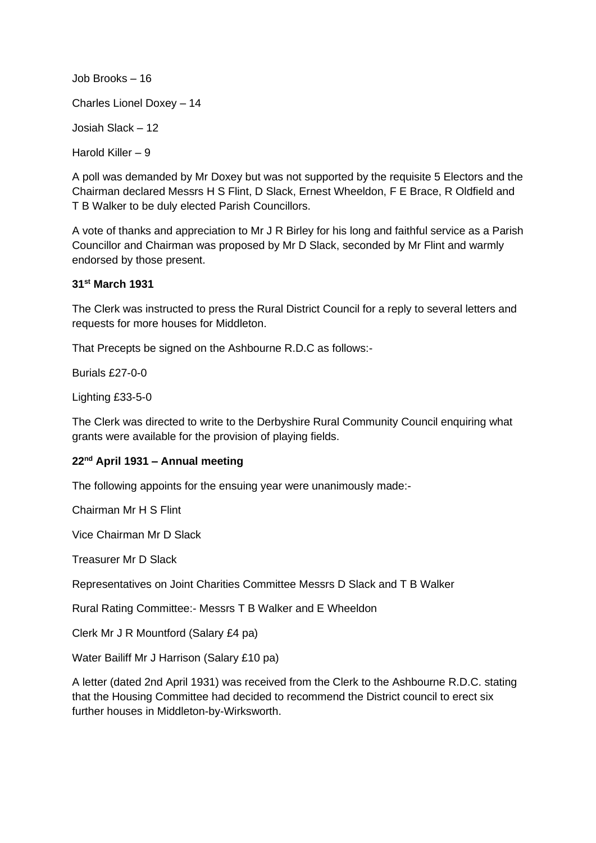Job Brooks – 16 Charles Lionel Doxey – 14 Josiah Slack – 12 Harold Killer – 9

A poll was demanded by Mr Doxey but was not supported by the requisite 5 Electors and the Chairman declared Messrs H S Flint, D Slack, Ernest Wheeldon, F E Brace, R Oldfield and T B Walker to be duly elected Parish Councillors.

A vote of thanks and appreciation to Mr J R Birley for his long and faithful service as a Parish Councillor and Chairman was proposed by Mr D Slack, seconded by Mr Flint and warmly endorsed by those present.

# **31st March 1931**

The Clerk was instructed to press the Rural District Council for a reply to several letters and requests for more houses for Middleton.

That Precepts be signed on the Ashbourne R.D.C as follows:-

Burials £27-0-0

Lighting £33-5-0

The Clerk was directed to write to the Derbyshire Rural Community Council enquiring what grants were available for the provision of playing fields.

## **22nd April 1931 – Annual meeting**

The following appoints for the ensuing year were unanimously made:-

Chairman Mr H S Flint

Vice Chairman Mr D Slack

Treasurer Mr D Slack

Representatives on Joint Charities Committee Messrs D Slack and T B Walker

Rural Rating Committee:- Messrs T B Walker and E Wheeldon

Clerk Mr J R Mountford (Salary £4 pa)

Water Bailiff Mr J Harrison (Salary £10 pa)

A letter (dated 2nd April 1931) was received from the Clerk to the Ashbourne R.D.C. stating that the Housing Committee had decided to recommend the District council to erect six further houses in Middleton-by-Wirksworth.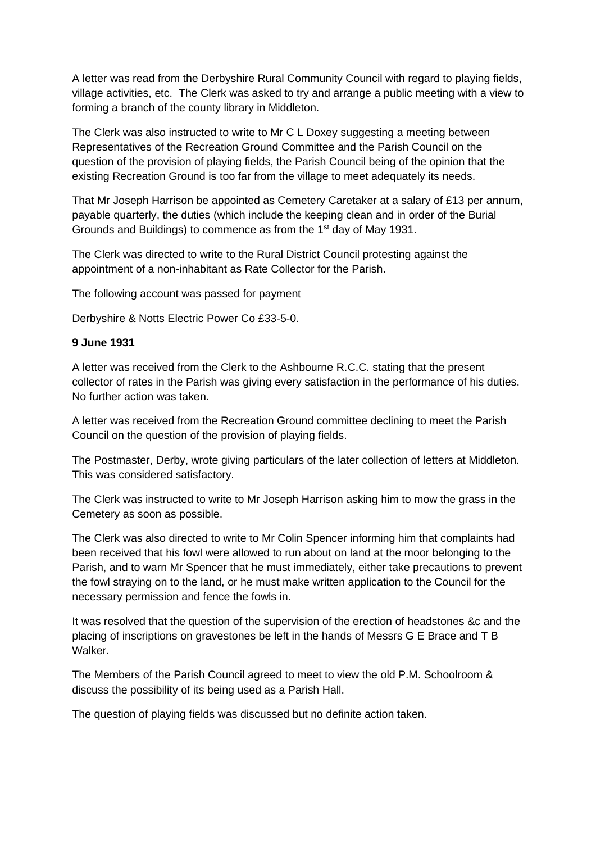A letter was read from the Derbyshire Rural Community Council with regard to playing fields, village activities, etc. The Clerk was asked to try and arrange a public meeting with a view to forming a branch of the county library in Middleton.

The Clerk was also instructed to write to Mr C L Doxey suggesting a meeting between Representatives of the Recreation Ground Committee and the Parish Council on the question of the provision of playing fields, the Parish Council being of the opinion that the existing Recreation Ground is too far from the village to meet adequately its needs.

That Mr Joseph Harrison be appointed as Cemetery Caretaker at a salary of £13 per annum, payable quarterly, the duties (which include the keeping clean and in order of the Burial Grounds and Buildings) to commence as from the 1st day of May 1931.

The Clerk was directed to write to the Rural District Council protesting against the appointment of a non-inhabitant as Rate Collector for the Parish.

The following account was passed for payment

Derbyshire & Notts Electric Power Co £33-5-0.

#### **9 June 1931**

A letter was received from the Clerk to the Ashbourne R.C.C. stating that the present collector of rates in the Parish was giving every satisfaction in the performance of his duties. No further action was taken.

A letter was received from the Recreation Ground committee declining to meet the Parish Council on the question of the provision of playing fields.

The Postmaster, Derby, wrote giving particulars of the later collection of letters at Middleton. This was considered satisfactory.

The Clerk was instructed to write to Mr Joseph Harrison asking him to mow the grass in the Cemetery as soon as possible.

The Clerk was also directed to write to Mr Colin Spencer informing him that complaints had been received that his fowl were allowed to run about on land at the moor belonging to the Parish, and to warn Mr Spencer that he must immediately, either take precautions to prevent the fowl straying on to the land, or he must make written application to the Council for the necessary permission and fence the fowls in.

It was resolved that the question of the supervision of the erection of headstones &c and the placing of inscriptions on gravestones be left in the hands of Messrs G E Brace and T B Walker.

The Members of the Parish Council agreed to meet to view the old P.M. Schoolroom & discuss the possibility of its being used as a Parish Hall.

The question of playing fields was discussed but no definite action taken.